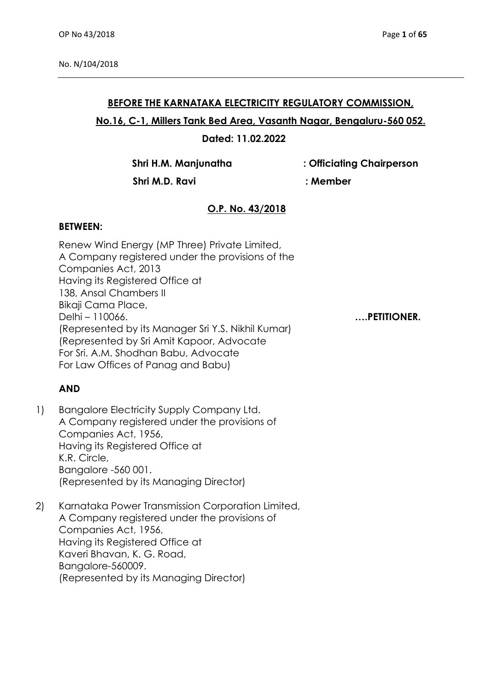## **BEFORE THE KARNATAKA ELECTRICITY REGULATORY COMMISSION,**

## **No.16, C-1, Millers Tank Bed Area, Vasanth Nagar, Bengaluru-560 052.**

## **Dated: 11.02.2022**

**Shri H.M. Manjunatha : Officiating Chairperson**

 **Shri M.D. Ravi : Member**

# **O.P. No. 43/2018**

#### **BETWEEN:**

Renew Wind Energy (MP Three) Private Limited, A Company registered under the provisions of the Companies Act, 2013 Having its Registered Office at 138, Ansal Chambers II Bikaji Cama Place, Delhi – 110066. **….PETITIONER.**  (Represented by its Manager Sri Y.S. Nikhil Kumar) (Represented by Sri Amit Kapoor, Advocate For Sri. A.M. Shodhan Babu, Advocate For Law Offices of Panag and Babu)

# **AND**

- 1) Bangalore Electricity Supply Company Ltd. A Company registered under the provisions of Companies Act, 1956, Having its Registered Office at K.R. Circle, Bangalore -560 001. (Represented by its Managing Director)
- 2) Karnataka Power Transmission Corporation Limited, A Company registered under the provisions of Companies Act, 1956, Having its Registered Office at Kaveri Bhavan, K. G. Road, Bangalore-560009. (Represented by its Managing Director)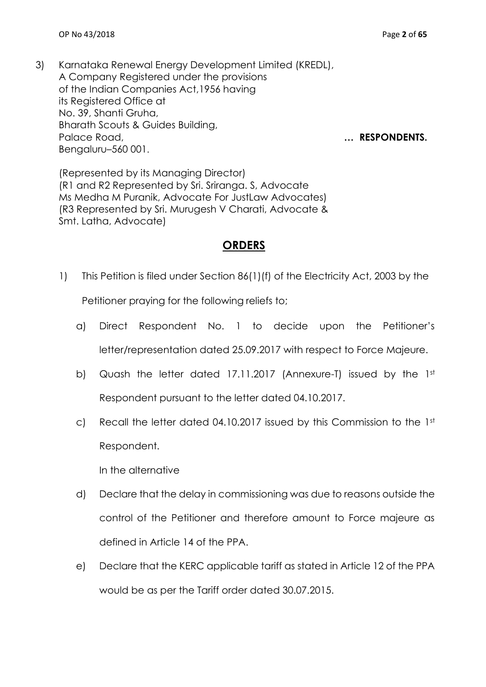3) Karnataka Renewal Energy Development Limited (KREDL), A Company Registered under the provisions of the Indian Companies Act,1956 having its Registered Office at No. 39, Shanti Gruha, Bharath Scouts & Guides Building, Palace Road, **manufacturers** and **numerical contracts** and **manufacturers** and **manufacturers** and **manufacturers**. Bengaluru–560 001.

(Represented by its Managing Director) (R1 and R2 Represented by Sri. Sriranga. S, Advocate Ms Medha M Puranik, Advocate For JustLaw Advocates) (R3 Represented by Sri. Murugesh V Charati, Advocate & Smt. Latha, Advocate)

# **ORDERS**

1) This Petition is filed under Section 86(1)(f) of the Electricity Act, 2003 by the

Petitioner praying for the following reliefs to;

- a) Direct Respondent No. 1 to decide upon the Petitioner's letter/representation dated 25.09.2017 with respect to Force Majeure.
- b) Quash the letter dated 17.11.2017 (Annexure-T) issued by the 1st Respondent pursuant to the letter dated 04.10.2017.
- c) Recall the letter dated 04.10.2017 issued by this Commission to the 1st Respondent.

In the alternative

- d) Declare that the delay in commissioning was due to reasons outside the control of the Petitioner and therefore amount to Force majeure as defined in Article 14 of the PPA.
- e) Declare that the KERC applicable tariff as stated in Article 12 of the PPA would be as per the Tariff order dated 30.07.2015.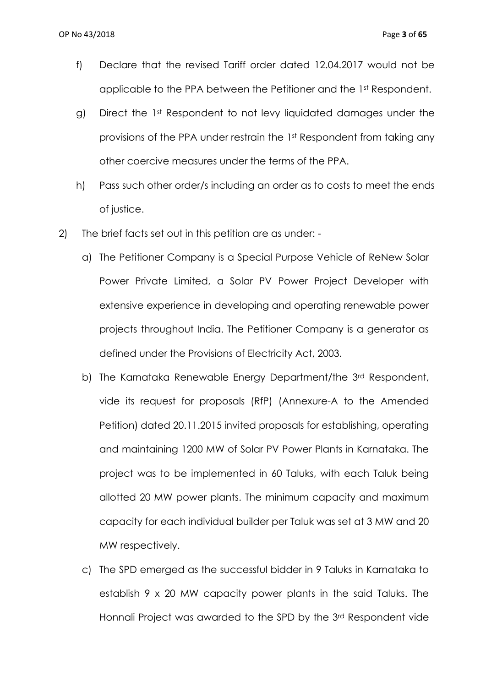- f) Declare that the revised Tariff order dated 12.04.2017 would not be applicable to the PPA between the Petitioner and the 1st Respondent.
- g) Direct the 1st Respondent to not levy liquidated damages under the provisions of the PPA under restrain the 1st Respondent from taking any other coercive measures under the terms of the PPA.
- h) Pass such other order/s including an order as to costs to meet the ends of justice.
- 2) The brief facts set out in this petition are as under:
	- a) The Petitioner Company is a Special Purpose Vehicle of ReNew Solar Power Private Limited, a Solar PV Power Project Developer with extensive experience in developing and operating renewable power projects throughout India. The Petitioner Company is a generator as defined under the Provisions of Electricity Act, 2003.
	- b) The Karnataka Renewable Energy Department/the 3rd Respondent, vide its request for proposals (RfP) (Annexure-A to the Amended Petition) dated 20.11.2015 invited proposals for establishing, operating and maintaining 1200 MW of Solar PV Power Plants in Karnataka. The project was to be implemented in 60 Taluks, with each Taluk being allotted 20 MW power plants. The minimum capacity and maximum capacity for each individual builder per Taluk was set at 3 MW and 20 MW respectively.
	- c) The SPD emerged as the successful bidder in 9 Taluks in Karnataka to establish 9 x 20 MW capacity power plants in the said Taluks. The Honnali Project was awarded to the SPD by the 3rd Respondent vide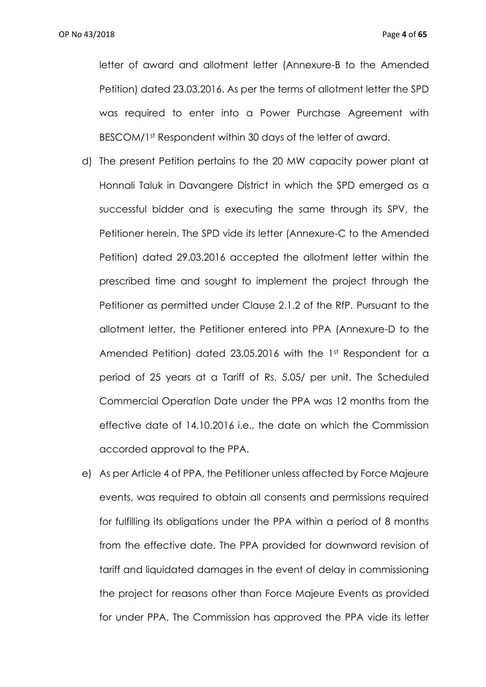letter of award and allotment letter (Annexure-B to the Amended Petition) dated 23.03.2016. As per the terms of allotment letter the SPD was required to enter into a Power Purchase Agreement with BESCOM/1st Respondent within 30 days of the letter of award.

- d) The present Petition pertains to the 20 MW capacity power plant at Honnali Taluk in Davangere District in which the SPD emerged as a successful bidder and is executing the same through its SPV, the Petitioner herein. The SPD vide its letter (Annexure-C to the Amended Petition) dated 29.03.2016 accepted the allotment letter within the prescribed time and sought to implement the project through the Petitioner as permitted under Clause 2.1.2 of the RfP. Pursuant to the allotment letter, the Petitioner entered into PPA (Annexure-D to the Amended Petition) dated 23.05.2016 with the 1st Respondent for a period of 25 years at a Tariff of Rs. 5.05/ per unit. The Scheduled Commercial Operation Date under the PPA was 12 months from the effective date of 14.10.2016 i.e., the date on which the Commission accorded approval to the PPA.
- e) As per Article 4 of PPA, the Petitioner unless affected by Force Majeure events, was required to obtain all consents and permissions required for fulfilling its obligations under the PPA within a period of 8 months from the effective date. The PPA provided for downward revision of tariff and liquidated damages in the event of delay in commissioning the project for reasons other than Force Majeure Events as provided for under PPA. The Commission has approved the PPA vide its letter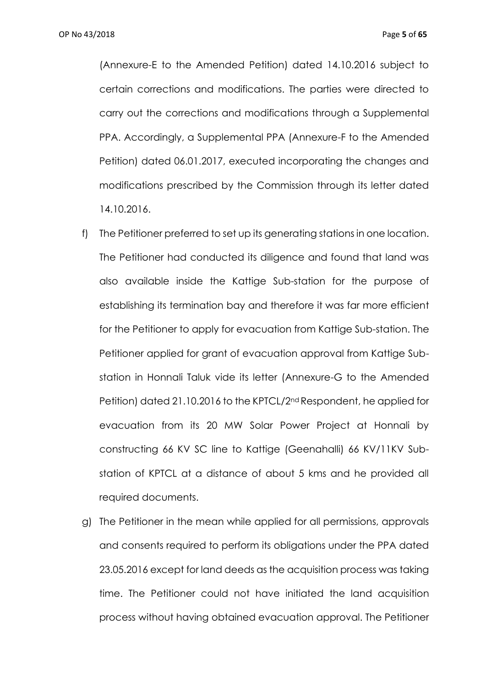(Annexure-E to the Amended Petition) dated 14.10.2016 subject to certain corrections and modifications. The parties were directed to carry out the corrections and modifications through a Supplemental PPA. Accordingly, a Supplemental PPA (Annexure-F to the Amended Petition) dated 06.01.2017, executed incorporating the changes and modifications prescribed by the Commission through its letter dated 14.10.2016.

- f) The Petitioner preferred to set up its generating stations in one location. The Petitioner had conducted its diligence and found that land was also available inside the Kattige Sub-station for the purpose of establishing its termination bay and therefore it was far more efficient for the Petitioner to apply for evacuation from Kattige Sub-station. The Petitioner applied for grant of evacuation approval from Kattige Substation in Honnali Taluk vide its letter (Annexure-G to the Amended Petition) dated 21.10.2016 to the KPTCL/2nd Respondent, he applied for evacuation from its 20 MW Solar Power Project at Honnali by constructing 66 KV SC line to Kattige (Geenahalli) 66 KV/11KV Substation of KPTCL at a distance of about 5 kms and he provided all required documents.
- g) The Petitioner in the mean while applied for all permissions, approvals and consents required to perform its obligations under the PPA dated 23.05.2016 except for land deeds as the acquisition process was taking time. The Petitioner could not have initiated the land acquisition process without having obtained evacuation approval. The Petitioner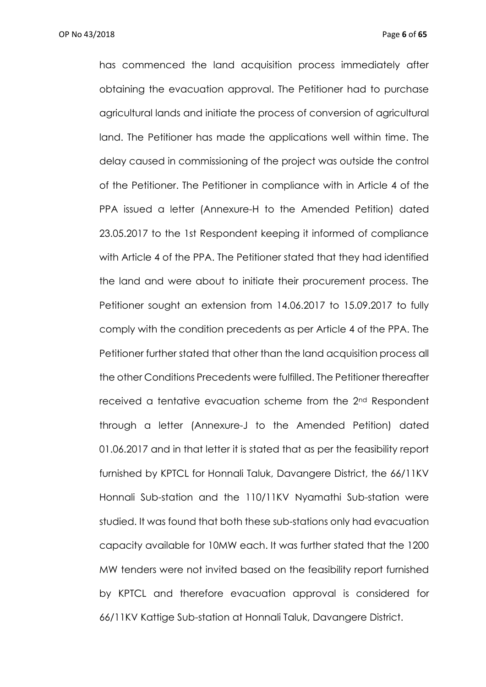has commenced the land acquisition process immediately after obtaining the evacuation approval. The Petitioner had to purchase agricultural lands and initiate the process of conversion of agricultural land. The Petitioner has made the applications well within time. The delay caused in commissioning of the project was outside the control of the Petitioner. The Petitioner in compliance with in Article 4 of the PPA issued a letter (Annexure-H to the Amended Petition) dated 23.05.2017 to the 1st Respondent keeping it informed of compliance with Article 4 of the PPA. The Petitioner stated that they had identified the land and were about to initiate their procurement process. The Petitioner sought an extension from 14.06.2017 to 15.09.2017 to fully comply with the condition precedents as per Article 4 of the PPA. The Petitioner further stated that other than the land acquisition process all the other Conditions Precedents were fulfilled. The Petitioner thereafter received a tentative evacuation scheme from the 2nd Respondent through a letter (Annexure-J to the Amended Petition) dated 01.06.2017 and in that letter it is stated that as per the feasibility report furnished by KPTCL for Honnali Taluk, Davangere District, the 66/11KV Honnali Sub-station and the 110/11KV Nyamathi Sub-station were studied. It was found that both these sub-stations only had evacuation capacity available for 10MW each. It was further stated that the 1200 MW tenders were not invited based on the feasibility report furnished by KPTCL and therefore evacuation approval is considered for 66/11KV Kattige Sub-station at Honnali Taluk, Davangere District.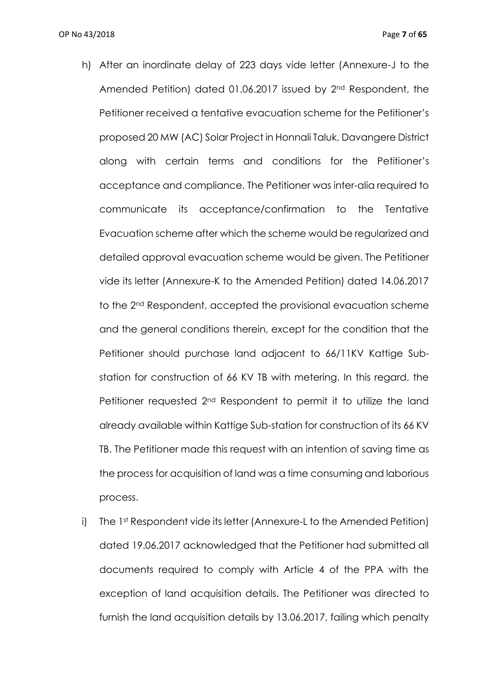- h) After an inordinate delay of 223 days vide letter (Annexure-J to the Amended Petition) dated 01.06.2017 issued by 2nd Respondent, the Petitioner received a tentative evacuation scheme for the Petitioner's proposed 20 MW (AC) Solar Project in Honnali Taluk, Davangere District along with certain terms and conditions for the Petitioner's acceptance and compliance. The Petitioner was inter-alia required to communicate its acceptance/confirmation to the Tentative Evacuation scheme after which the scheme would be regularized and detailed approval evacuation scheme would be given. The Petitioner vide its letter (Annexure-K to the Amended Petition) dated 14.06.2017 to the 2nd Respondent, accepted the provisional evacuation scheme and the general conditions therein, except for the condition that the Petitioner should purchase land adjacent to 66/11KV Kattige Substation for construction of 66 KV TB with metering. In this regard, the Petitioner requested 2nd Respondent to permit it to utilize the land already available within Kattige Sub-station for construction of its 66 KV TB. The Petitioner made this request with an intention of saving time as the process for acquisition of land was a time consuming and laborious process.
- i) The 1st Respondent vide its letter (Annexure-L to the Amended Petition) dated 19.06.2017 acknowledged that the Petitioner had submitted all documents required to comply with Article 4 of the PPA with the exception of land acquisition details. The Petitioner was directed to furnish the land acquisition details by 13.06.2017, failing which penalty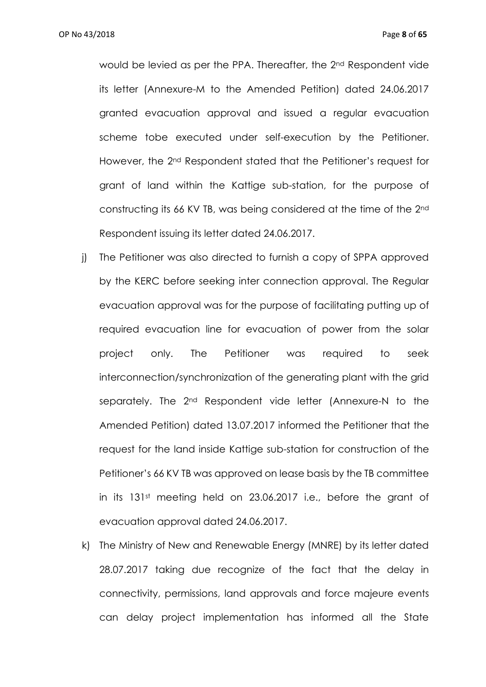would be levied as per the PPA. Thereafter, the 2nd Respondent vide its letter (Annexure-M to the Amended Petition) dated 24.06.2017 granted evacuation approval and issued a regular evacuation scheme tobe executed under self-execution by the Petitioner. However, the 2nd Respondent stated that the Petitioner's request for grant of land within the Kattige sub-station, for the purpose of constructing its 66 KV TB, was being considered at the time of the 2nd Respondent issuing its letter dated 24.06.2017.

- j) The Petitioner was also directed to furnish a copy of SPPA approved by the KERC before seeking inter connection approval. The Regular evacuation approval was for the purpose of facilitating putting up of required evacuation line for evacuation of power from the solar project only. The Petitioner was required to seek interconnection/synchronization of the generating plant with the grid separately. The 2<sup>nd</sup> Respondent vide letter (Annexure-N to the Amended Petition) dated 13.07.2017 informed the Petitioner that the request for the land inside Kattige sub-station for construction of the Petitioner's 66 KV TB was approved on lease basis by the TB committee in its 131st meeting held on 23.06.2017 i.e., before the grant of evacuation approval dated 24.06.2017.
- k) The Ministry of New and Renewable Energy (MNRE) by its letter dated 28.07.2017 taking due recognize of the fact that the delay in connectivity, permissions, land approvals and force majeure events can delay project implementation has informed all the State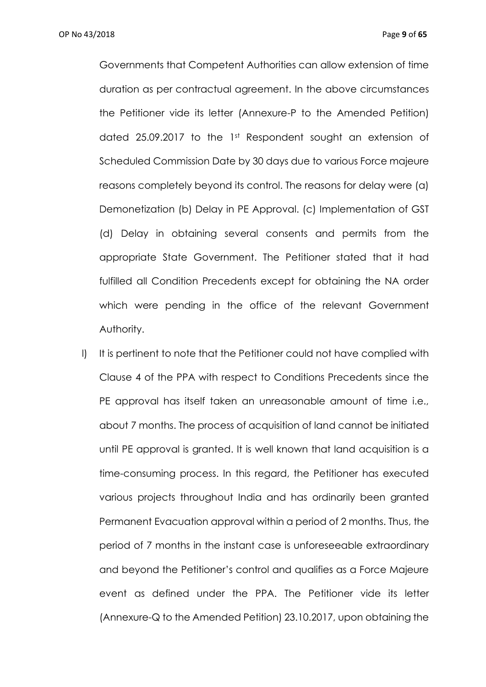Governments that Competent Authorities can allow extension of time duration as per contractual agreement. In the above circumstances the Petitioner vide its letter (Annexure-P to the Amended Petition) dated 25.09.2017 to the 1st Respondent sought an extension of Scheduled Commission Date by 30 days due to various Force majeure reasons completely beyond its control. The reasons for delay were (a) Demonetization (b) Delay in PE Approval. (c) Implementation of GST (d) Delay in obtaining several consents and permits from the appropriate State Government. The Petitioner stated that it had fulfilled all Condition Precedents except for obtaining the NA order which were pending in the office of the relevant Government Authority.

I) It is pertinent to note that the Petitioner could not have complied with Clause 4 of the PPA with respect to Conditions Precedents since the PE approval has itself taken an unreasonable amount of time i.e., about 7 months. The process of acquisition of land cannot be initiated until PE approval is granted. It is well known that land acquisition is a time-consuming process. In this regard, the Petitioner has executed various projects throughout India and has ordinarily been granted Permanent Evacuation approval within a period of 2 months. Thus, the period of 7 months in the instant case is unforeseeable extraordinary and beyond the Petitioner's control and qualifies as a Force Majeure event as defined under the PPA. The Petitioner vide its letter (Annexure-Q to the Amended Petition) 23.10.2017, upon obtaining the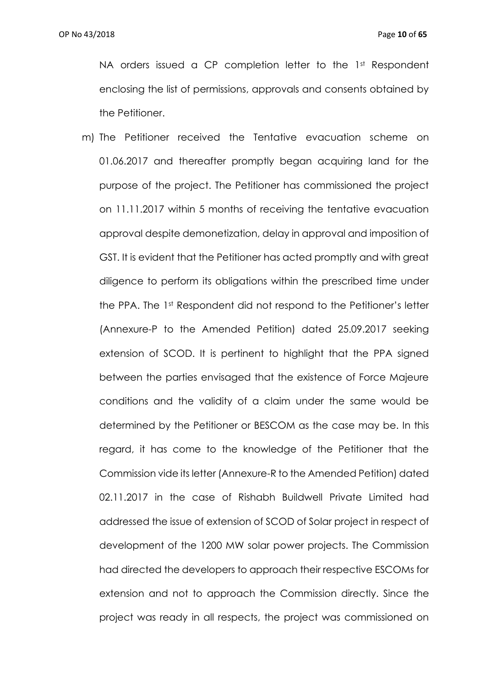NA orders issued a CP completion letter to the 1st Respondent enclosing the list of permissions, approvals and consents obtained by the Petitioner.

m) The Petitioner received the Tentative evacuation scheme on 01.06.2017 and thereafter promptly began acquiring land for the purpose of the project. The Petitioner has commissioned the project on 11.11.2017 within 5 months of receiving the tentative evacuation approval despite demonetization, delay in approval and imposition of GST. It is evident that the Petitioner has acted promptly and with great diligence to perform its obligations within the prescribed time under the PPA. The 1st Respondent did not respond to the Petitioner's letter (Annexure-P to the Amended Petition) dated 25.09.2017 seeking extension of SCOD. It is pertinent to highlight that the PPA signed between the parties envisaged that the existence of Force Majeure conditions and the validity of a claim under the same would be determined by the Petitioner or BESCOM as the case may be. In this regard, it has come to the knowledge of the Petitioner that the Commission vide its letter (Annexure-R to the Amended Petition) dated 02.11.2017 in the case of Rishabh Buildwell Private Limited had addressed the issue of extension of SCOD of Solar project in respect of development of the 1200 MW solar power projects. The Commission had directed the developers to approach their respective ESCOMs for extension and not to approach the Commission directly. Since the project was ready in all respects, the project was commissioned on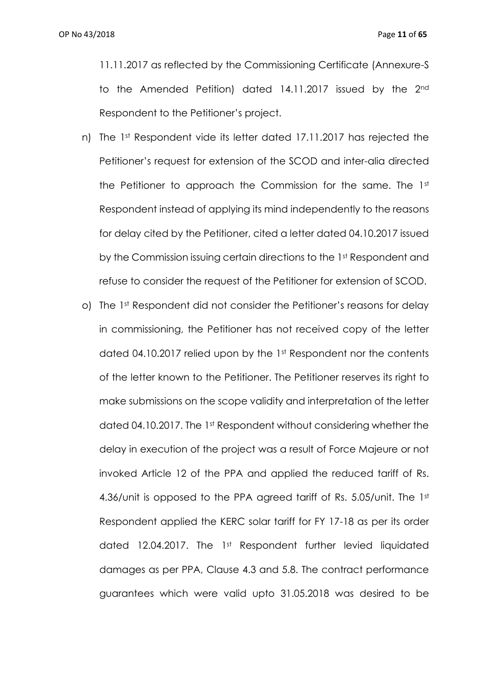11.11.2017 as reflected by the Commissioning Certificate (Annexure-S to the Amended Petition) dated 14.11.2017 issued by the 2nd Respondent to the Petitioner's project.

- n) The 1st Respondent vide its letter dated 17.11.2017 has rejected the Petitioner's request for extension of the SCOD and inter-alia directed the Petitioner to approach the Commission for the same. The 1st Respondent instead of applying its mind independently to the reasons for delay cited by the Petitioner, cited a letter dated 04.10.2017 issued by the Commission issuing certain directions to the 1st Respondent and refuse to consider the request of the Petitioner for extension of SCOD.
- o) The 1st Respondent did not consider the Petitioner's reasons for delay in commissioning, the Petitioner has not received copy of the letter dated 04.10.2017 relied upon by the 1st Respondent nor the contents of the letter known to the Petitioner. The Petitioner reserves its right to make submissions on the scope validity and interpretation of the letter dated 04.10.2017. The 1st Respondent without considering whether the delay in execution of the project was a result of Force Majeure or not invoked Article 12 of the PPA and applied the reduced tariff of Rs. 4.36/unit is opposed to the PPA agreed tariff of Rs. 5.05/unit. The 1st Respondent applied the KERC solar tariff for FY 17-18 as per its order dated 12.04.2017. The 1st Respondent further levied liquidated damages as per PPA, Clause 4.3 and 5.8. The contract performance guarantees which were valid upto 31.05.2018 was desired to be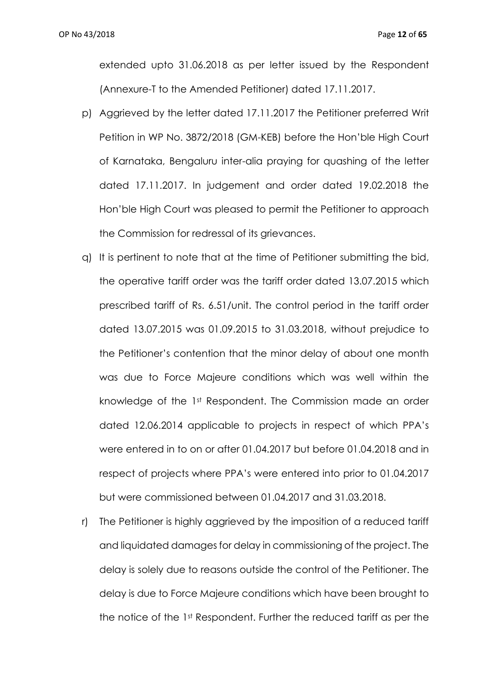extended upto 31.06.2018 as per letter issued by the Respondent (Annexure-T to the Amended Petitioner) dated 17.11.2017.

- p) Aggrieved by the letter dated 17.11.2017 the Petitioner preferred Writ Petition in WP No. 3872/2018 (GM-KEB) before the Hon'ble High Court of Karnataka, Bengaluru inter-alia praying for quashing of the letter dated 17.11.2017. In judgement and order dated 19.02.2018 the Hon'ble High Court was pleased to permit the Petitioner to approach the Commission for redressal of its grievances.
- q) It is pertinent to note that at the time of Petitioner submitting the bid, the operative tariff order was the tariff order dated 13.07.2015 which prescribed tariff of Rs. 6.51/unit. The control period in the tariff order dated 13.07.2015 was 01.09.2015 to 31.03.2018, without prejudice to the Petitioner's contention that the minor delay of about one month was due to Force Majeure conditions which was well within the knowledge of the 1st Respondent. The Commission made an order dated 12.06.2014 applicable to projects in respect of which PPA's were entered in to on or after 01.04.2017 but before 01.04.2018 and in respect of projects where PPA's were entered into prior to 01.04.2017 but were commissioned between 01.04.2017 and 31.03.2018.
- r) The Petitioner is highly aggrieved by the imposition of a reduced tariff and liquidated damages for delay in commissioning of the project. The delay is solely due to reasons outside the control of the Petitioner. The delay is due to Force Majeure conditions which have been brought to the notice of the 1st Respondent. Further the reduced tariff as per the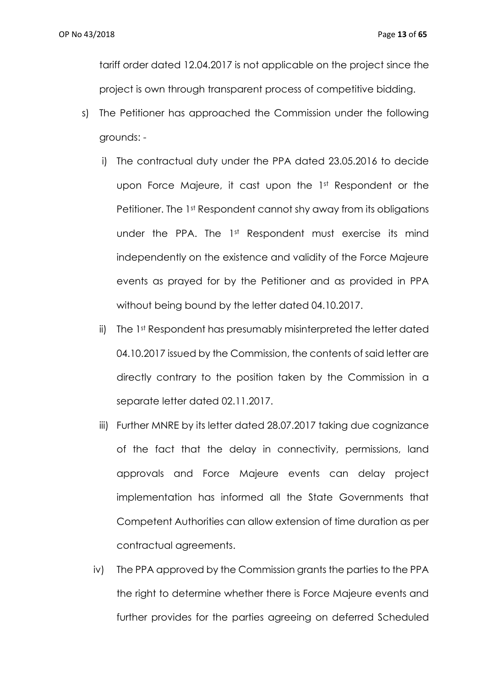tariff order dated 12.04.2017 is not applicable on the project since the project is own through transparent process of competitive bidding.

- s) The Petitioner has approached the Commission under the following grounds:
	- i) The contractual duty under the PPA dated 23.05.2016 to decide upon Force Majeure, it cast upon the 1st Respondent or the Petitioner. The 1st Respondent cannot shy away from its obligations under the PPA. The 1st Respondent must exercise its mind independently on the existence and validity of the Force Majeure events as prayed for by the Petitioner and as provided in PPA without being bound by the letter dated 04.10.2017.
	- ii) The 1st Respondent has presumably misinterpreted the letter dated 04.10.2017 issued by the Commission, the contents of said letter are directly contrary to the position taken by the Commission in a separate letter dated 02.11.2017.
	- iii) Further MNRE by its letter dated 28.07.2017 taking due cognizance of the fact that the delay in connectivity, permissions, land approvals and Force Majeure events can delay project implementation has informed all the State Governments that Competent Authorities can allow extension of time duration as per contractual agreements.
	- iv) The PPA approved by the Commission grants the parties to the PPA the right to determine whether there is Force Majeure events and further provides for the parties agreeing on deferred Scheduled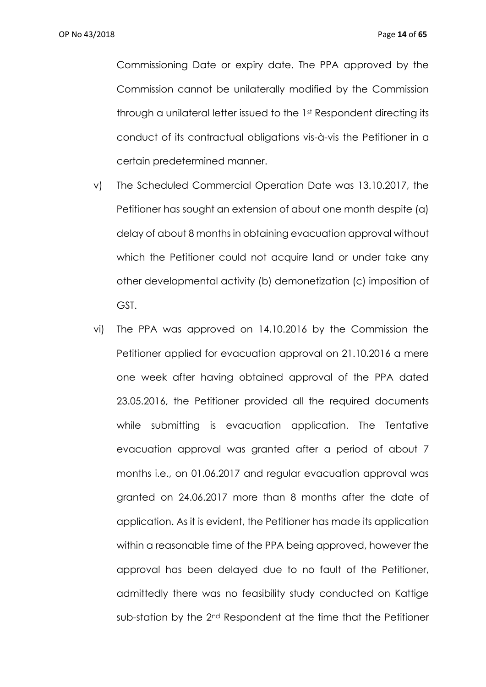Commissioning Date or expiry date. The PPA approved by the Commission cannot be unilaterally modified by the Commission through a unilateral letter issued to the 1st Respondent directing its conduct of its contractual obligations vis-à-vis the Petitioner in a certain predetermined manner.

- v) The Scheduled Commercial Operation Date was 13.10.2017, the Petitioner has sought an extension of about one month despite (a) delay of about 8 months in obtaining evacuation approval without which the Petitioner could not acquire land or under take any other developmental activity (b) demonetization (c) imposition of GST.
- vi) The PPA was approved on 14.10.2016 by the Commission the Petitioner applied for evacuation approval on 21.10.2016 a mere one week after having obtained approval of the PPA dated 23.05.2016, the Petitioner provided all the required documents while submitting is evacuation application. The Tentative evacuation approval was granted after a period of about 7 months i.e., on 01.06.2017 and regular evacuation approval was granted on 24.06.2017 more than 8 months after the date of application. As it is evident, the Petitioner has made its application within a reasonable time of the PPA being approved, however the approval has been delayed due to no fault of the Petitioner, admittedly there was no feasibility study conducted on Kattige sub-station by the 2<sup>nd</sup> Respondent at the time that the Petitioner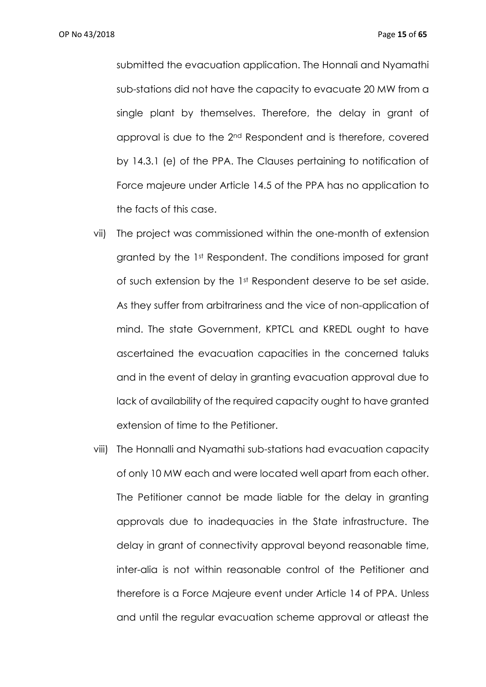OP No 43/2018 Page **15** of **65**

submitted the evacuation application. The Honnali and Nyamathi sub-stations did not have the capacity to evacuate 20 MW from a single plant by themselves. Therefore, the delay in grant of approval is due to the 2nd Respondent and is therefore, covered by 14.3.1 (e) of the PPA. The Clauses pertaining to notification of Force majeure under Article 14.5 of the PPA has no application to the facts of this case.

- vii) The project was commissioned within the one-month of extension granted by the 1st Respondent. The conditions imposed for grant of such extension by the 1st Respondent deserve to be set aside. As they suffer from arbitrariness and the vice of non-application of mind. The state Government, KPTCL and KREDL ought to have ascertained the evacuation capacities in the concerned taluks and in the event of delay in granting evacuation approval due to lack of availability of the required capacity ought to have granted extension of time to the Petitioner.
- viii) The Honnalli and Nyamathi sub-stations had evacuation capacity of only 10 MW each and were located well apart from each other. The Petitioner cannot be made liable for the delay in granting approvals due to inadequacies in the State infrastructure. The delay in grant of connectivity approval beyond reasonable time, inter-alia is not within reasonable control of the Petitioner and therefore is a Force Majeure event under Article 14 of PPA. Unless and until the regular evacuation scheme approval or atleast the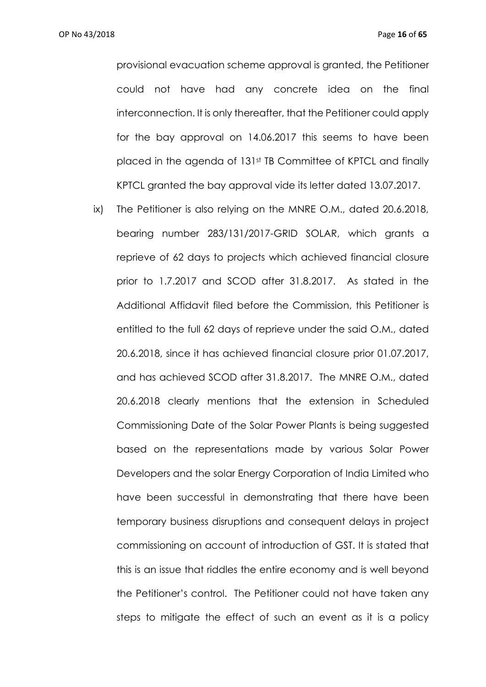provisional evacuation scheme approval is granted, the Petitioner could not have had any concrete idea on the final interconnection. It is only thereafter, that the Petitioner could apply for the bay approval on 14.06.2017 this seems to have been placed in the agenda of 131st TB Committee of KPTCL and finally KPTCL granted the bay approval vide its letter dated 13.07.2017.

ix) The Petitioner is also relying on the MNRE O.M., dated 20.6.2018, bearing number 283/131/2017-GRID SOLAR, which grants a reprieve of 62 days to projects which achieved financial closure prior to 1.7.2017 and SCOD after 31.8.2017. As stated in the Additional Affidavit filed before the Commission, this Petitioner is entitled to the full 62 days of reprieve under the said O.M., dated 20.6.2018, since it has achieved financial closure prior 01.07.2017, and has achieved SCOD after 31.8.2017. The MNRE O.M., dated 20.6.2018 clearly mentions that the extension in Scheduled Commissioning Date of the Solar Power Plants is being suggested based on the representations made by various Solar Power Developers and the solar Energy Corporation of India Limited who have been successful in demonstrating that there have been temporary business disruptions and consequent delays in project commissioning on account of introduction of GST. It is stated that this is an issue that riddles the entire economy and is well beyond the Petitioner's control. The Petitioner could not have taken any steps to mitigate the effect of such an event as it is a policy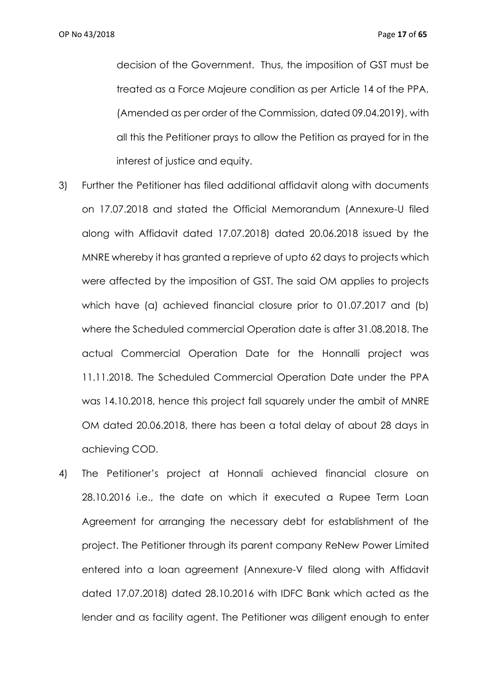decision of the Government. Thus, the imposition of GST must be treated as a Force Majeure condition as per Article 14 of the PPA. (Amended as per order of the Commission, dated 09.04.2019), with all this the Petitioner prays to allow the Petition as prayed for in the interest of justice and equity.

- 3) Further the Petitioner has filed additional affidavit along with documents on 17.07.2018 and stated the Official Memorandum (Annexure-U filed along with Affidavit dated 17.07.2018) dated 20.06.2018 issued by the MNRE whereby it has granted a reprieve of upto 62 days to projects which were affected by the imposition of GST. The said OM applies to projects which have (a) achieved financial closure prior to 01.07.2017 and (b) where the Scheduled commercial Operation date is after 31.08.2018. The actual Commercial Operation Date for the Honnalli project was 11.11.2018. The Scheduled Commercial Operation Date under the PPA was 14.10.2018, hence this project fall squarely under the ambit of MNRE OM dated 20.06.2018, there has been a total delay of about 28 days in achieving COD.
- 4) The Petitioner's project at Honnali achieved financial closure on 28.10.2016 i.e., the date on which it executed a Rupee Term Loan Agreement for arranging the necessary debt for establishment of the project. The Petitioner through its parent company ReNew Power Limited entered into a loan agreement (Annexure-V filed along with Affidavit dated 17.07.2018) dated 28.10.2016 with IDFC Bank which acted as the lender and as facility agent. The Petitioner was diligent enough to enter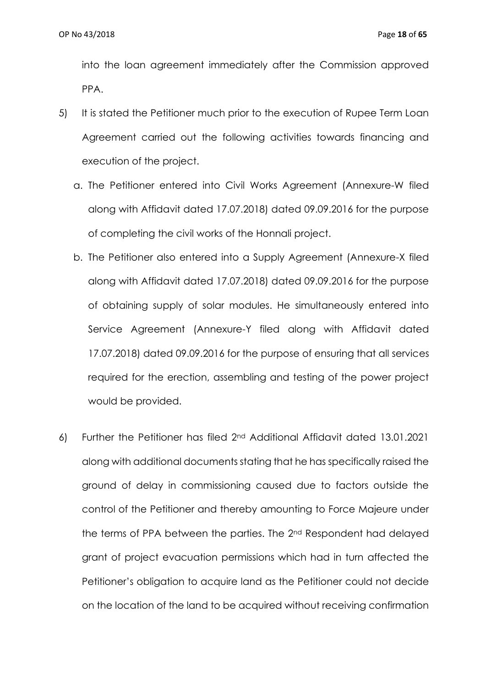into the loan agreement immediately after the Commission approved PPA.

- 5) It is stated the Petitioner much prior to the execution of Rupee Term Loan Agreement carried out the following activities towards financing and execution of the project.
	- a. The Petitioner entered into Civil Works Agreement (Annexure-W filed along with Affidavit dated 17.07.2018) dated 09.09.2016 for the purpose of completing the civil works of the Honnali project.
	- b. The Petitioner also entered into a Supply Agreement (Annexure-X filed along with Affidavit dated 17.07.2018) dated 09.09.2016 for the purpose of obtaining supply of solar modules. He simultaneously entered into Service Agreement (Annexure-Y filed along with Affidavit dated 17.07.2018) dated 09.09.2016 for the purpose of ensuring that all services required for the erection, assembling and testing of the power project would be provided.
- 6) Further the Petitioner has filed 2nd Additional Affidavit dated 13.01.2021 along with additional documents stating that he has specifically raised the ground of delay in commissioning caused due to factors outside the control of the Petitioner and thereby amounting to Force Majeure under the terms of PPA between the parties. The 2nd Respondent had delayed grant of project evacuation permissions which had in turn affected the Petitioner's obligation to acquire land as the Petitioner could not decide on the location of the land to be acquired without receiving confirmation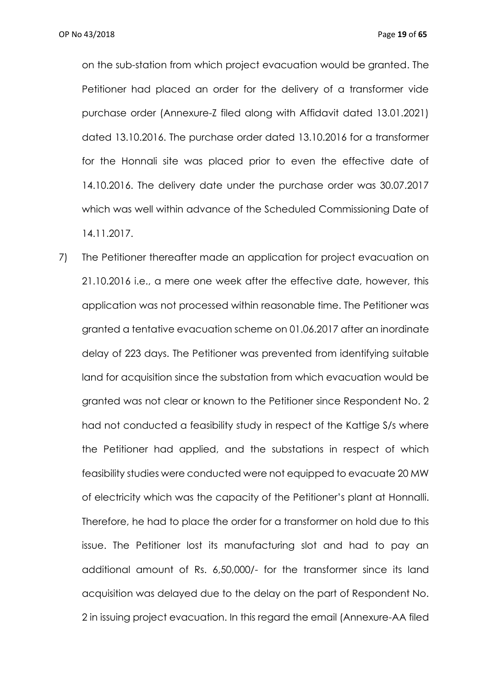on the sub-station from which project evacuation would be granted. The Petitioner had placed an order for the delivery of a transformer vide purchase order (Annexure-Z filed along with Affidavit dated 13.01.2021) dated 13.10.2016. The purchase order dated 13.10.2016 for a transformer for the Honnali site was placed prior to even the effective date of 14.10.2016. The delivery date under the purchase order was 30.07.2017 which was well within advance of the Scheduled Commissioning Date of 14.11.2017.

7) The Petitioner thereafter made an application for project evacuation on 21.10.2016 i.e., a mere one week after the effective date, however, this application was not processed within reasonable time. The Petitioner was granted a tentative evacuation scheme on 01.06.2017 after an inordinate delay of 223 days. The Petitioner was prevented from identifying suitable land for acquisition since the substation from which evacuation would be granted was not clear or known to the Petitioner since Respondent No. 2 had not conducted a feasibility study in respect of the Kattige S/s where the Petitioner had applied, and the substations in respect of which feasibility studies were conducted were not equipped to evacuate 20 MW of electricity which was the capacity of the Petitioner's plant at Honnalli. Therefore, he had to place the order for a transformer on hold due to this issue. The Petitioner lost its manufacturing slot and had to pay an additional amount of Rs. 6,50,000/- for the transformer since its land acquisition was delayed due to the delay on the part of Respondent No. 2 in issuing project evacuation. In this regard the email (Annexure-AA filed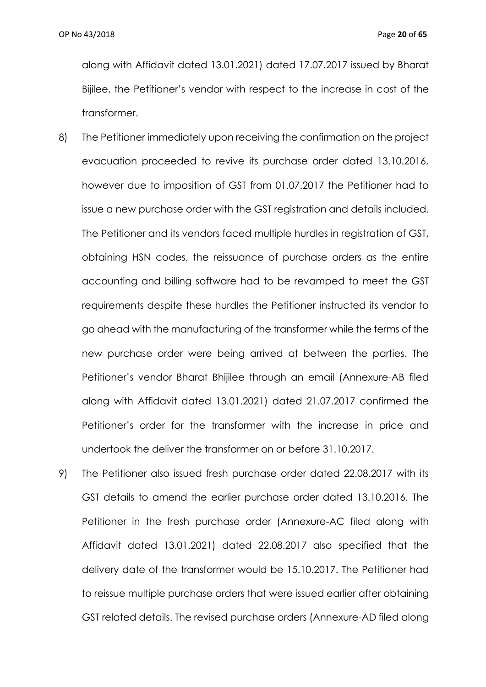along with Affidavit dated 13.01.2021) dated 17.07.2017 issued by Bharat Bijilee, the Petitioner's vendor with respect to the increase in cost of the transformer.

- 8) The Petitioner immediately upon receiving the confirmation on the project evacuation proceeded to revive its purchase order dated 13.10.2016, however due to imposition of GST from 01.07.2017 the Petitioner had to issue a new purchase order with the GST registration and details included. The Petitioner and its vendors faced multiple hurdles in registration of GST, obtaining HSN codes, the reissuance of purchase orders as the entire accounting and billing software had to be revamped to meet the GST requirements despite these hurdles the Petitioner instructed its vendor to go ahead with the manufacturing of the transformer while the terms of the new purchase order were being arrived at between the parties. The Petitioner's vendor Bharat Bhijilee through an email (Annexure-AB filed along with Affidavit dated 13.01.2021) dated 21.07.2017 confirmed the Petitioner's order for the transformer with the increase in price and undertook the deliver the transformer on or before 31.10.2017.
- 9) The Petitioner also issued fresh purchase order dated 22.08.2017 with its GST details to amend the earlier purchase order dated 13.10.2016. The Petitioner in the fresh purchase order (Annexure-AC filed along with Affidavit dated 13.01.2021) dated 22.08.2017 also specified that the delivery date of the transformer would be 15.10.2017. The Petitioner had to reissue multiple purchase orders that were issued earlier after obtaining GST related details. The revised purchase orders (Annexure-AD filed along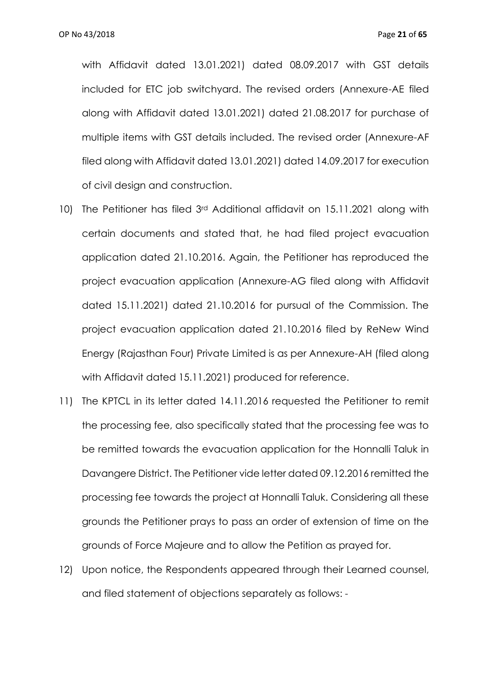with Affidavit dated 13.01.2021) dated 08.09.2017 with GST details included for ETC job switchyard. The revised orders (Annexure-AE filed along with Affidavit dated 13.01.2021) dated 21.08.2017 for purchase of multiple items with GST details included. The revised order (Annexure-AF filed along with Affidavit dated 13.01.2021) dated 14.09.2017 for execution of civil design and construction.

- 10) The Petitioner has filed 3rd Additional affidavit on 15.11.2021 along with certain documents and stated that, he had filed project evacuation application dated 21.10.2016. Again, the Petitioner has reproduced the project evacuation application (Annexure-AG filed along with Affidavit dated 15.11.2021) dated 21.10.2016 for pursual of the Commission. The project evacuation application dated 21.10.2016 filed by ReNew Wind Energy (Rajasthan Four) Private Limited is as per Annexure-AH (filed along with Affidavit dated 15.11.2021) produced for reference.
- 11) The KPTCL in its letter dated 14.11.2016 requested the Petitioner to remit the processing fee, also specifically stated that the processing fee was to be remitted towards the evacuation application for the Honnalli Taluk in Davangere District. The Petitioner vide letter dated 09.12.2016 remitted the processing fee towards the project at Honnalli Taluk. Considering all these grounds the Petitioner prays to pass an order of extension of time on the grounds of Force Majeure and to allow the Petition as prayed for.
- 12) Upon notice, the Respondents appeared through their Learned counsel, and filed statement of objections separately as follows: -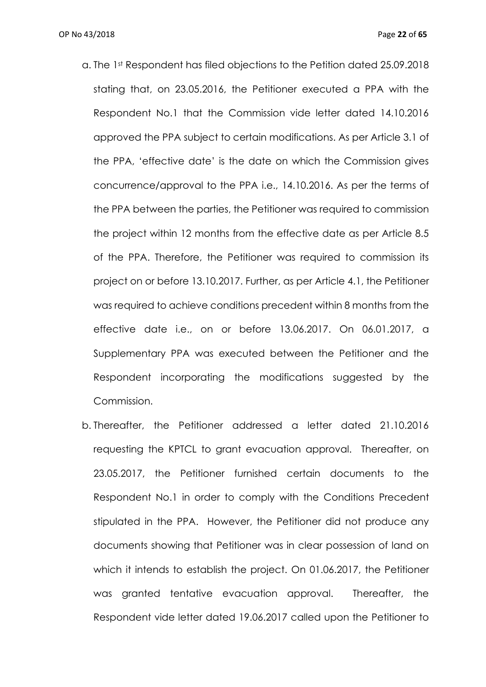- a. The 1st Respondent has filed objections to the Petition dated 25.09.2018 stating that, on 23.05.2016, the Petitioner executed a PPA with the Respondent No.1 that the Commission vide letter dated 14.10.2016 approved the PPA subject to certain modifications. As per Article 3.1 of the PPA, 'effective date' is the date on which the Commission gives concurrence/approval to the PPA i.e., 14.10.2016. As per the terms of the PPA between the parties, the Petitioner was required to commission the project within 12 months from the effective date as per Article 8.5 of the PPA. Therefore, the Petitioner was required to commission its project on or before 13.10.2017. Further, as per Article 4.1, the Petitioner was required to achieve conditions precedent within 8 months from the effective date i.e., on or before 13.06.2017. On 06.01.2017, a Supplementary PPA was executed between the Petitioner and the Respondent incorporating the modifications suggested by the Commission.
- b. Thereafter, the Petitioner addressed a letter dated 21.10.2016 requesting the KPTCL to grant evacuation approval. Thereafter, on 23.05.2017, the Petitioner furnished certain documents to the Respondent No.1 in order to comply with the Conditions Precedent stipulated in the PPA. However, the Petitioner did not produce any documents showing that Petitioner was in clear possession of land on which it intends to establish the project. On 01.06.2017, the Petitioner was granted tentative evacuation approval. Thereafter, the Respondent vide letter dated 19.06.2017 called upon the Petitioner to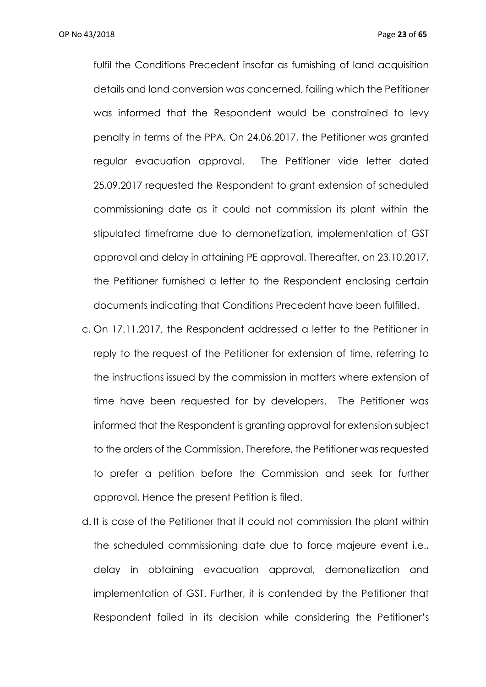OP No 43/2018 Page **23** of **65**

fulfil the Conditions Precedent insofar as furnishing of land acquisition details and land conversion was concerned, failing which the Petitioner was informed that the Respondent would be constrained to levy penalty in terms of the PPA. On 24.06.2017, the Petitioner was granted regular evacuation approval. The Petitioner vide letter dated 25.09.2017 requested the Respondent to grant extension of scheduled commissioning date as it could not commission its plant within the stipulated timeframe due to demonetization, implementation of GST approval and delay in attaining PE approval. Thereafter, on 23.10.2017, the Petitioner furnished a letter to the Respondent enclosing certain documents indicating that Conditions Precedent have been fulfilled.

- c. On 17.11.2017, the Respondent addressed a letter to the Petitioner in reply to the request of the Petitioner for extension of time, referring to the instructions issued by the commission in matters where extension of time have been requested for by developers. The Petitioner was informed that the Respondent is granting approval for extension subject to the orders of the Commission. Therefore, the Petitioner was requested to prefer a petition before the Commission and seek for further approval. Hence the present Petition is filed.
- d. It is case of the Petitioner that it could not commission the plant within the scheduled commissioning date due to force majeure event i.e., delay in obtaining evacuation approval, demonetization and implementation of GST. Further, it is contended by the Petitioner that Respondent failed in its decision while considering the Petitioner's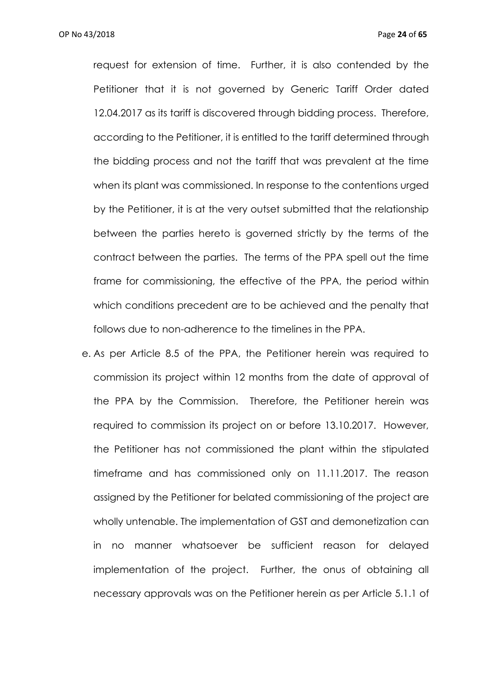OP No 43/2018 Page **24** of **65**

request for extension of time. Further, it is also contended by the Petitioner that it is not governed by Generic Tariff Order dated 12.04.2017 as its tariff is discovered through bidding process. Therefore, according to the Petitioner, it is entitled to the tariff determined through the bidding process and not the tariff that was prevalent at the time when its plant was commissioned. In response to the contentions urged by the Petitioner, it is at the very outset submitted that the relationship between the parties hereto is governed strictly by the terms of the contract between the parties. The terms of the PPA spell out the time frame for commissioning, the effective of the PPA, the period within which conditions precedent are to be achieved and the penalty that follows due to non-adherence to the timelines in the PPA.

e. As per Article 8.5 of the PPA, the Petitioner herein was required to commission its project within 12 months from the date of approval of the PPA by the Commission. Therefore, the Petitioner herein was required to commission its project on or before 13.10.2017. However, the Petitioner has not commissioned the plant within the stipulated timeframe and has commissioned only on 11.11.2017. The reason assigned by the Petitioner for belated commissioning of the project are wholly untenable. The implementation of GST and demonetization can in no manner whatsoever be sufficient reason for delayed implementation of the project. Further, the onus of obtaining all necessary approvals was on the Petitioner herein as per Article 5.1.1 of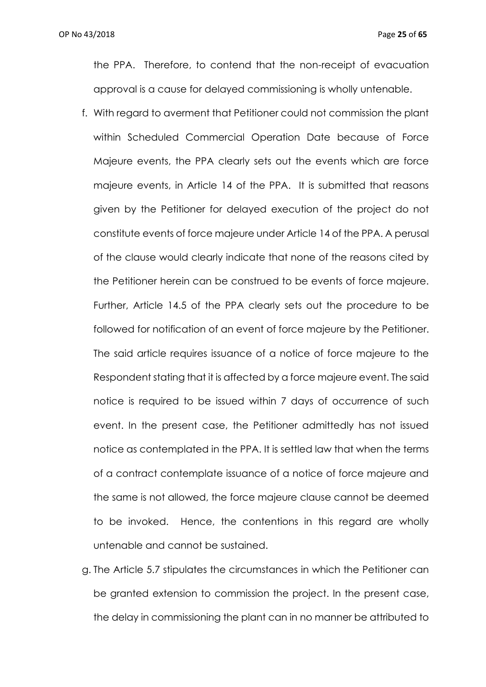the PPA. Therefore, to contend that the non-receipt of evacuation approval is a cause for delayed commissioning is wholly untenable.

- f. With regard to averment that Petitioner could not commission the plant within Scheduled Commercial Operation Date because of Force Majeure events, the PPA clearly sets out the events which are force majeure events, in Article 14 of the PPA. It is submitted that reasons given by the Petitioner for delayed execution of the project do not constitute events of force majeure under Article 14 of the PPA. A perusal of the clause would clearly indicate that none of the reasons cited by the Petitioner herein can be construed to be events of force majeure. Further, Article 14.5 of the PPA clearly sets out the procedure to be followed for notification of an event of force majeure by the Petitioner. The said article requires issuance of a notice of force majeure to the Respondent stating that it is affected by a force majeure event. The said notice is required to be issued within 7 days of occurrence of such event. In the present case, the Petitioner admittedly has not issued notice as contemplated in the PPA. It is settled law that when the terms of a contract contemplate issuance of a notice of force majeure and the same is not allowed, the force majeure clause cannot be deemed to be invoked. Hence, the contentions in this regard are wholly untenable and cannot be sustained.
- g. The Article 5.7 stipulates the circumstances in which the Petitioner can be granted extension to commission the project. In the present case, the delay in commissioning the plant can in no manner be attributed to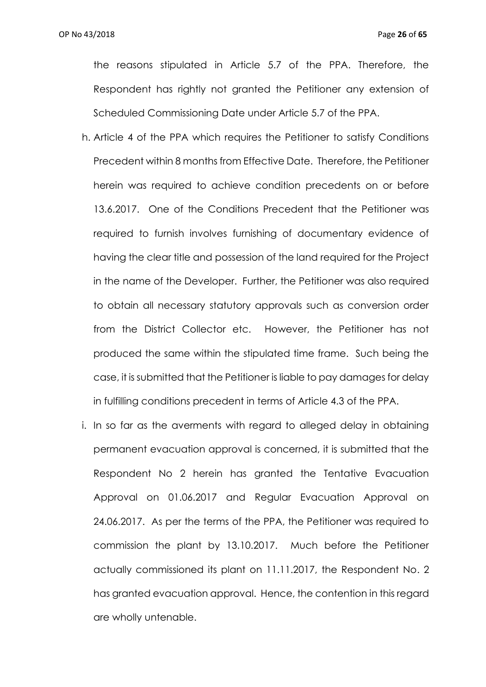the reasons stipulated in Article 5.7 of the PPA. Therefore, the Respondent has rightly not granted the Petitioner any extension of Scheduled Commissioning Date under Article 5.7 of the PPA.

- h. Article 4 of the PPA which requires the Petitioner to satisfy Conditions Precedent within 8 months from Effective Date. Therefore, the Petitioner herein was required to achieve condition precedents on or before 13.6.2017. One of the Conditions Precedent that the Petitioner was required to furnish involves furnishing of documentary evidence of having the clear title and possession of the land required for the Project in the name of the Developer. Further, the Petitioner was also required to obtain all necessary statutory approvals such as conversion order from the District Collector etc. However, the Petitioner has not produced the same within the stipulated time frame. Such being the case, it is submitted that the Petitioner is liable to pay damages for delay in fulfilling conditions precedent in terms of Article 4.3 of the PPA.
- i. In so far as the averments with regard to alleged delay in obtaining permanent evacuation approval is concerned, it is submitted that the Respondent No 2 herein has granted the Tentative Evacuation Approval on 01.06.2017 and Regular Evacuation Approval on 24.06.2017. As per the terms of the PPA, the Petitioner was required to commission the plant by 13.10.2017. Much before the Petitioner actually commissioned its plant on 11.11.2017, the Respondent No. 2 has granted evacuation approval. Hence, the contention in this regard are wholly untenable.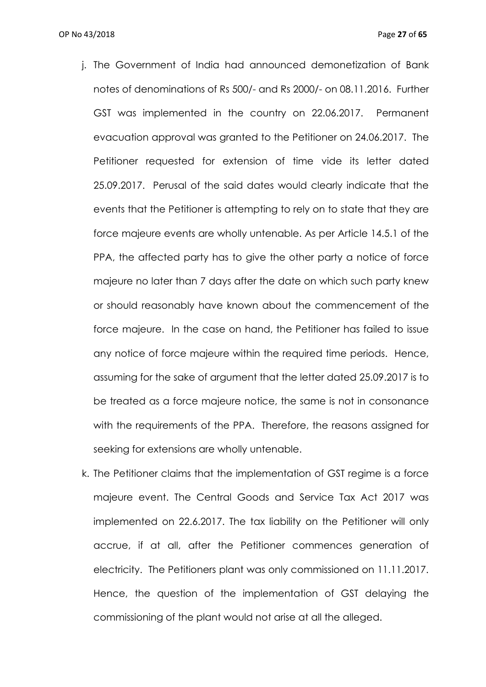- j. The Government of India had announced demonetization of Bank notes of denominations of Rs 500/- and Rs 2000/- on 08.11.2016. Further GST was implemented in the country on 22.06.2017. Permanent evacuation approval was granted to the Petitioner on 24.06.2017. The Petitioner requested for extension of time vide its letter dated 25.09.2017. Perusal of the said dates would clearly indicate that the events that the Petitioner is attempting to rely on to state that they are force majeure events are wholly untenable. As per Article 14.5.1 of the PPA, the affected party has to give the other party a notice of force majeure no later than 7 days after the date on which such party knew or should reasonably have known about the commencement of the force majeure. In the case on hand, the Petitioner has failed to issue any notice of force majeure within the required time periods. Hence, assuming for the sake of argument that the letter dated 25.09.2017 is to be treated as a force majeure notice, the same is not in consonance with the requirements of the PPA. Therefore, the reasons assigned for seeking for extensions are wholly untenable.
- k. The Petitioner claims that the implementation of GST regime is a force majeure event. The Central Goods and Service Tax Act 2017 was implemented on 22.6.2017. The tax liability on the Petitioner will only accrue, if at all, after the Petitioner commences generation of electricity. The Petitioners plant was only commissioned on 11.11.2017. Hence, the question of the implementation of GST delaying the commissioning of the plant would not arise at all the alleged.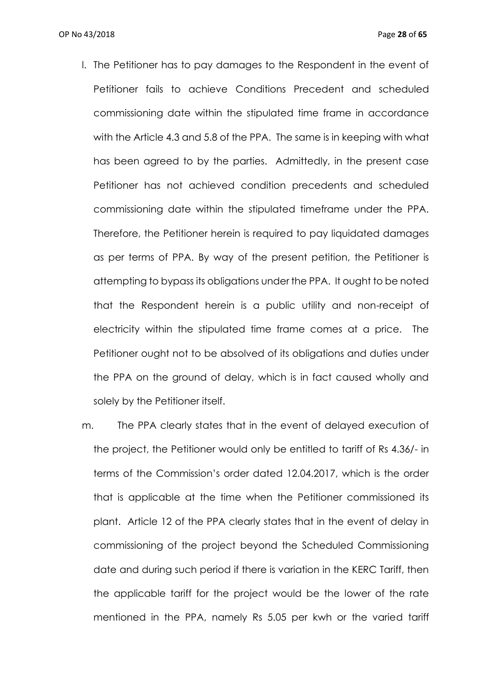- l. The Petitioner has to pay damages to the Respondent in the event of Petitioner fails to achieve Conditions Precedent and scheduled commissioning date within the stipulated time frame in accordance with the Article 4.3 and 5.8 of the PPA. The same is in keeping with what has been agreed to by the parties. Admittedly, in the present case Petitioner has not achieved condition precedents and scheduled commissioning date within the stipulated timeframe under the PPA. Therefore, the Petitioner herein is required to pay liquidated damages as per terms of PPA. By way of the present petition, the Petitioner is attempting to bypass its obligations under the PPA. It ought to be noted that the Respondent herein is a public utility and non-receipt of electricity within the stipulated time frame comes at a price. The Petitioner ought not to be absolved of its obligations and duties under the PPA on the ground of delay, which is in fact caused wholly and solely by the Petitioner itself.
- m. The PPA clearly states that in the event of delayed execution of the project, the Petitioner would only be entitled to tariff of Rs 4.36/- in terms of the Commission's order dated 12.04.2017, which is the order that is applicable at the time when the Petitioner commissioned its plant. Article 12 of the PPA clearly states that in the event of delay in commissioning of the project beyond the Scheduled Commissioning date and during such period if there is variation in the KERC Tariff, then the applicable tariff for the project would be the lower of the rate mentioned in the PPA, namely Rs 5.05 per kwh or the varied tariff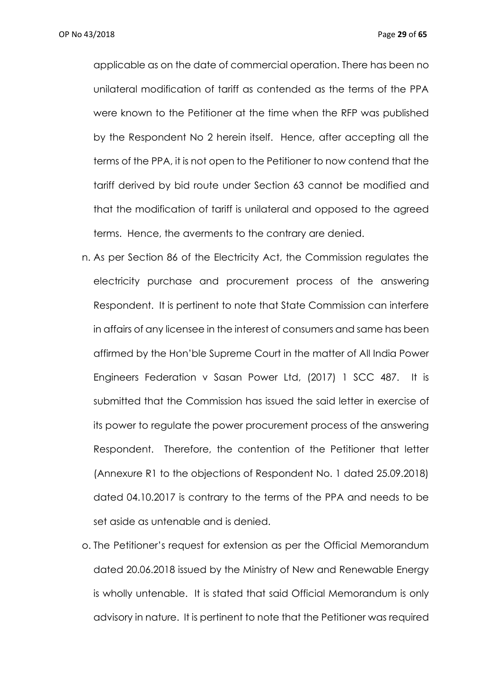applicable as on the date of commercial operation. There has been no unilateral modification of tariff as contended as the terms of the PPA were known to the Petitioner at the time when the RFP was published by the Respondent No 2 herein itself. Hence, after accepting all the terms of the PPA, it is not open to the Petitioner to now contend that the tariff derived by bid route under Section 63 cannot be modified and that the modification of tariff is unilateral and opposed to the agreed terms. Hence, the averments to the contrary are denied.

- n. As per Section 86 of the Electricity Act, the Commission regulates the electricity purchase and procurement process of the answering Respondent. It is pertinent to note that State Commission can interfere in affairs of any licensee in the interest of consumers and same has been affirmed by the Hon'ble Supreme Court in the matter of All India Power Engineers Federation v Sasan Power Ltd, (2017) 1 SCC 487. It is submitted that the Commission has issued the said letter in exercise of its power to regulate the power procurement process of the answering Respondent. Therefore, the contention of the Petitioner that letter (Annexure R1 to the objections of Respondent No. 1 dated 25.09.2018) dated 04.10.2017 is contrary to the terms of the PPA and needs to be set aside as untenable and is denied.
- o. The Petitioner's request for extension as per the Official Memorandum dated 20.06.2018 issued by the Ministry of New and Renewable Energy is wholly untenable. It is stated that said Official Memorandum is only advisory in nature. It is pertinent to note that the Petitioner was required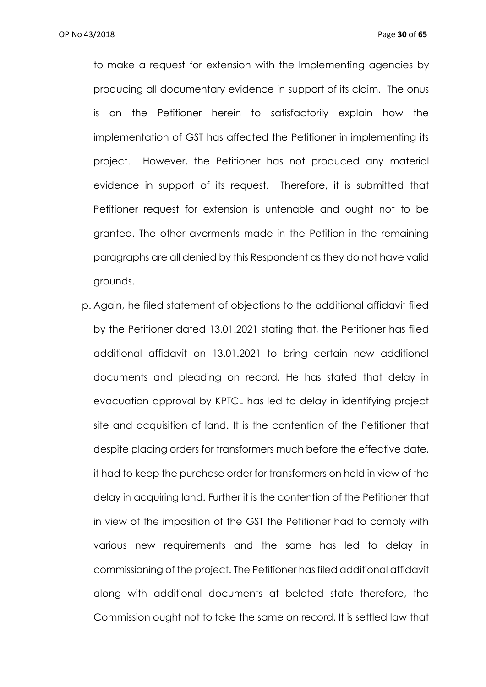to make a request for extension with the Implementing agencies by producing all documentary evidence in support of its claim. The onus is on the Petitioner herein to satisfactorily explain how the implementation of GST has affected the Petitioner in implementing its project. However, the Petitioner has not produced any material evidence in support of its request. Therefore, it is submitted that Petitioner request for extension is untenable and ought not to be granted. The other averments made in the Petition in the remaining paragraphs are all denied by this Respondent as they do not have valid grounds.

p. Again, he filed statement of objections to the additional affidavit filed by the Petitioner dated 13.01.2021 stating that, the Petitioner has filed additional affidavit on 13.01.2021 to bring certain new additional documents and pleading on record. He has stated that delay in evacuation approval by KPTCL has led to delay in identifying project site and acquisition of land. It is the contention of the Petitioner that despite placing orders for transformers much before the effective date, it had to keep the purchase order for transformers on hold in view of the delay in acquiring land. Further it is the contention of the Petitioner that in view of the imposition of the GST the Petitioner had to comply with various new requirements and the same has led to delay in commissioning of the project. The Petitioner has filed additional affidavit along with additional documents at belated state therefore, the Commission ought not to take the same on record. It is settled law that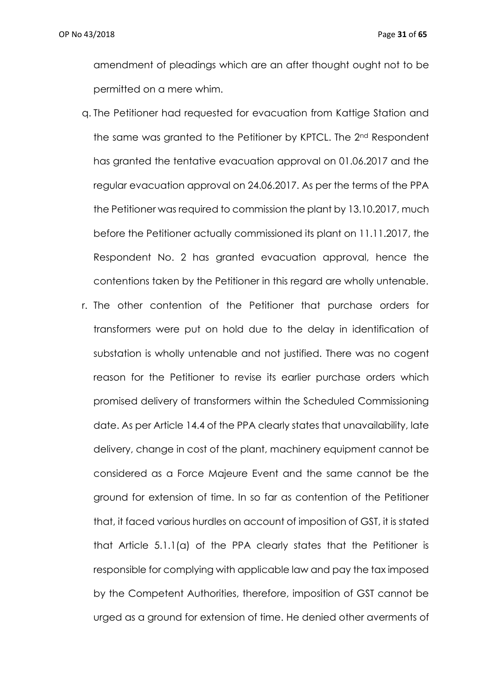amendment of pleadings which are an after thought ought not to be permitted on a mere whim.

- q. The Petitioner had requested for evacuation from Kattige Station and the same was granted to the Petitioner by KPTCL. The 2nd Respondent has granted the tentative evacuation approval on 01.06.2017 and the regular evacuation approval on 24.06.2017. As per the terms of the PPA the Petitioner was required to commission the plant by 13.10.2017, much before the Petitioner actually commissioned its plant on 11.11.2017, the Respondent No. 2 has granted evacuation approval, hence the contentions taken by the Petitioner in this regard are wholly untenable.
- r. The other contention of the Petitioner that purchase orders for transformers were put on hold due to the delay in identification of substation is wholly untenable and not justified. There was no cogent reason for the Petitioner to revise its earlier purchase orders which promised delivery of transformers within the Scheduled Commissioning date. As per Article 14.4 of the PPA clearly states that unavailability, late delivery, change in cost of the plant, machinery equipment cannot be considered as a Force Majeure Event and the same cannot be the ground for extension of time. In so far as contention of the Petitioner that, it faced various hurdles on account of imposition of GST, it is stated that Article 5.1.1(a) of the PPA clearly states that the Petitioner is responsible for complying with applicable law and pay the tax imposed by the Competent Authorities, therefore, imposition of GST cannot be urged as a ground for extension of time. He denied other averments of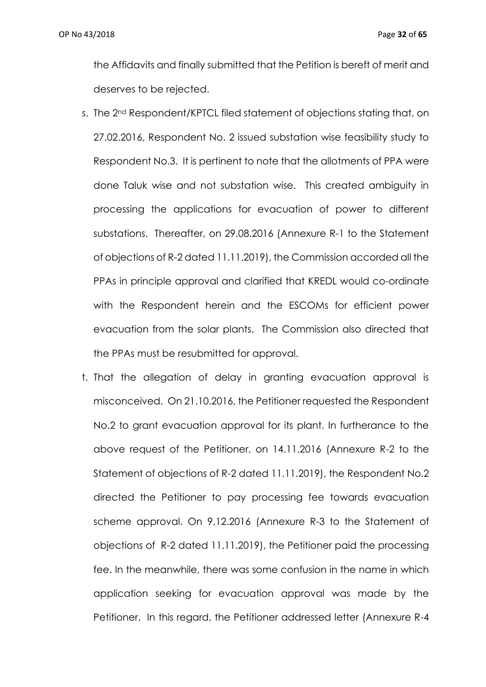the Affidavits and finally submitted that the Petition is bereft of merit and deserves to be rejected.

- s. The 2<sup>nd</sup> Respondent/KPTCL filed statement of objections stating that, on 27.02.2016, Respondent No. 2 issued substation wise feasibility study to Respondent No.3. It is pertinent to note that the allotments of PPA were done Taluk wise and not substation wise. This created ambiguity in processing the applications for evacuation of power to different substations. Thereafter, on 29.08.2016 (Annexure R-1 to the Statement of objections of R-2 dated 11.11.2019), the Commission accorded all the PPAs in principle approval and clarified that KREDL would co-ordinate with the Respondent herein and the ESCOMs for efficient power evacuation from the solar plants. The Commission also directed that the PPAs must be resubmitted for approval.
- t. That the allegation of delay in granting evacuation approval is misconceived. On 21.10.2016, the Petitioner requested the Respondent No.2 to grant evacuation approval for its plant. In furtherance to the above request of the Petitioner, on 14.11.2016 (Annexure R-2 to the Statement of objections of R-2 dated 11.11.2019), the Respondent No.2 directed the Petitioner to pay processing fee towards evacuation scheme approval. On 9.12.2016 (Annexure R-3 to the Statement of objections of R-2 dated 11.11.2019), the Petitioner paid the processing fee. In the meanwhile, there was some confusion in the name in which application seeking for evacuation approval was made by the Petitioner. In this regard, the Petitioner addressed letter (Annexure R-4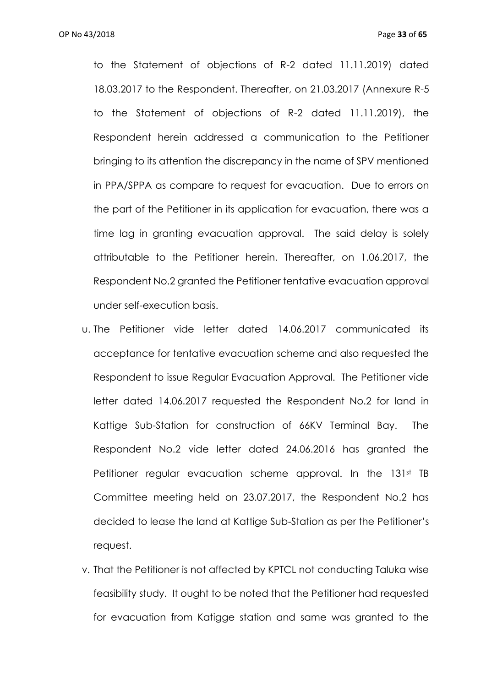OP No 43/2018 Page **33** of **65**

to the Statement of objections of R-2 dated 11.11.2019) dated 18.03.2017 to the Respondent. Thereafter, on 21.03.2017 (Annexure R-5 to the Statement of objections of R-2 dated 11.11.2019), the Respondent herein addressed a communication to the Petitioner bringing to its attention the discrepancy in the name of SPV mentioned in PPA/SPPA as compare to request for evacuation.Due to errors on the part of the Petitioner in its application for evacuation, there was a time lag in granting evacuation approval. The said delay is solely attributable to the Petitioner herein. Thereafter, on 1.06.2017, the Respondent No.2 granted the Petitioner tentative evacuation approval under self-execution basis.

- u. The Petitioner vide letter dated 14.06.2017 communicated its acceptance for tentative evacuation scheme and also requested the Respondent to issue Regular Evacuation Approval. The Petitioner vide letter dated 14.06.2017 requested the Respondent No.2 for land in Kattige Sub-Station for construction of 66KV Terminal Bay. The Respondent No.2 vide letter dated 24.06.2016 has granted the Petitioner regular evacuation scheme approval. In the 131st TB Committee meeting held on 23.07.2017, the Respondent No.2 has decided to lease the land at Kattige Sub-Station as per the Petitioner's request.
- v. That the Petitioner is not affected by KPTCL not conducting Taluka wise feasibility study. It ought to be noted that the Petitioner had requested for evacuation from Katigge station and same was granted to the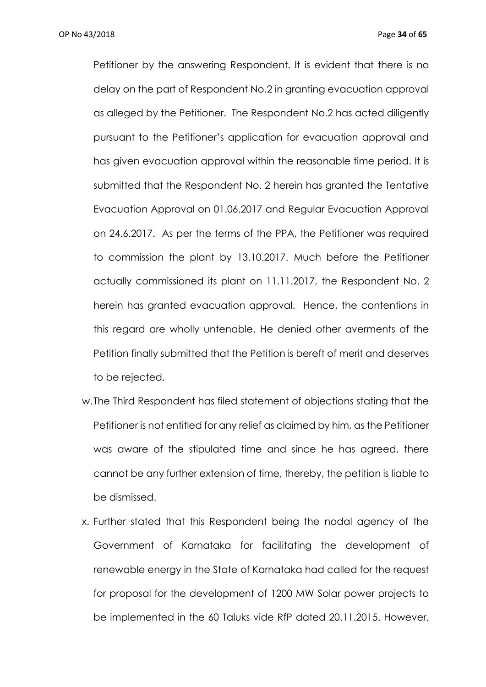Petitioner by the answering Respondent. It is evident that there is no delay on the part of Respondent No.2 in granting evacuation approval as alleged by the Petitioner. The Respondent No.2 has acted diligently pursuant to the Petitioner's application for evacuation approval and has given evacuation approval within the reasonable time period. It is submitted that the Respondent No. 2 herein has granted the Tentative Evacuation Approval on 01.06.2017 and Regular Evacuation Approval on 24.6.2017. As per the terms of the PPA, the Petitioner was required to commission the plant by 13.10.2017. Much before the Petitioner actually commissioned its plant on 11.11.2017, the Respondent No. 2 herein has granted evacuation approval. Hence, the contentions in this regard are wholly untenable. He denied other averments of the Petition finally submitted that the Petition is bereft of merit and deserves to be rejected.

- w.The Third Respondent has filed statement of objections stating that the Petitioner is not entitled for any relief as claimed by him, as the Petitioner was aware of the stipulated time and since he has agreed, there cannot be any further extension of time, thereby, the petition is liable to be dismissed.
- x. Further stated that this Respondent being the nodal agency of the Government of Karnataka for facilitating the development of renewable energy in the State of Karnataka had called for the request for proposal for the development of 1200 MW Solar power projects to be implemented in the 60 Taluks vide RfP dated 20.11.2015. However,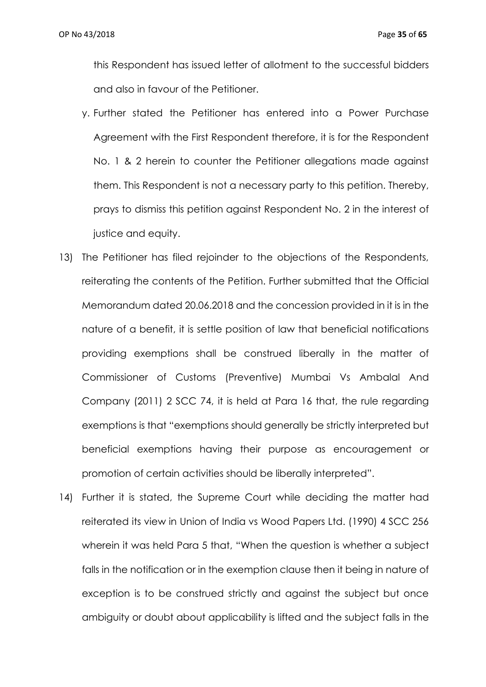this Respondent has issued letter of allotment to the successful bidders and also in favour of the Petitioner.

- y. Further stated the Petitioner has entered into a Power Purchase Agreement with the First Respondent therefore, it is for the Respondent No. 1 & 2 herein to counter the Petitioner allegations made against them. This Respondent is not a necessary party to this petition. Thereby, prays to dismiss this petition against Respondent No. 2 in the interest of justice and equity.
- 13) The Petitioner has filed rejoinder to the objections of the Respondents, reiterating the contents of the Petition. Further submitted that the Official Memorandum dated 20.06.2018 and the concession provided in it is in the nature of a benefit, it is settle position of law that beneficial notifications providing exemptions shall be construed liberally in the matter of Commissioner of Customs (Preventive) Mumbai Vs Ambalal And Company (2011) 2 SCC 74, it is held at Para 16 that, the rule regarding exemptions is that "exemptions should generally be strictly interpreted but beneficial exemptions having their purpose as encouragement or promotion of certain activities should be liberally interpreted".
- 14) Further it is stated, the Supreme Court while deciding the matter had reiterated its view in Union of India vs Wood Papers Ltd. (1990) 4 SCC 256 wherein it was held Para 5 that, "When the question is whether a subject falls in the notification or in the exemption clause then it being in nature of exception is to be construed strictly and against the subject but once ambiguity or doubt about applicability is lifted and the subject falls in the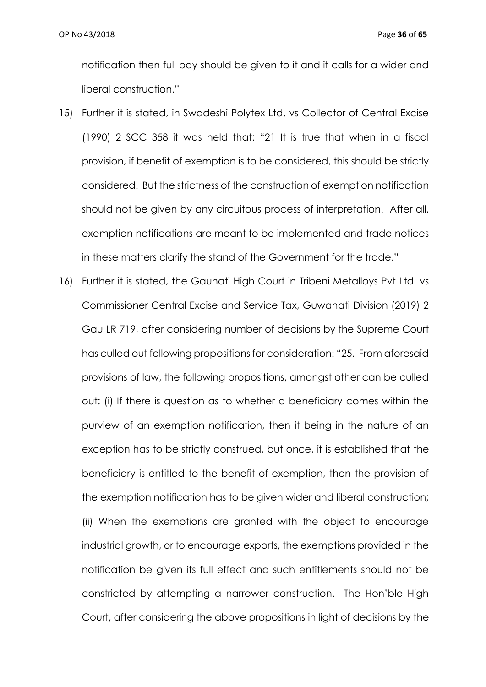notification then full pay should be given to it and it calls for a wider and liberal construction."

- 15) Further it is stated, in Swadeshi Polytex Ltd. vs Collector of Central Excise (1990) 2 SCC 358 it was held that: "21 It is true that when in a fiscal provision, if benefit of exemption is to be considered, this should be strictly considered. But the strictness of the construction of exemption notification should not be given by any circuitous process of interpretation. After all, exemption notifications are meant to be implemented and trade notices in these matters clarify the stand of the Government for the trade."
- 16) Further it is stated, the Gauhati High Court in Tribeni Metalloys Pvt Ltd. vs Commissioner Central Excise and Service Tax, Guwahati Division (2019) 2 Gau LR 719, after considering number of decisions by the Supreme Court has culled out following propositions for consideration: "25. From aforesaid provisions of law, the following propositions, amongst other can be culled out: (i) If there is question as to whether a beneficiary comes within the purview of an exemption notification, then it being in the nature of an exception has to be strictly construed, but once, it is established that the beneficiary is entitled to the benefit of exemption, then the provision of the exemption notification has to be given wider and liberal construction; (ii) When the exemptions are granted with the object to encourage industrial growth, or to encourage exports, the exemptions provided in the notification be given its full effect and such entitlements should not be constricted by attempting a narrower construction. The Hon'ble High Court, after considering the above propositions in light of decisions by the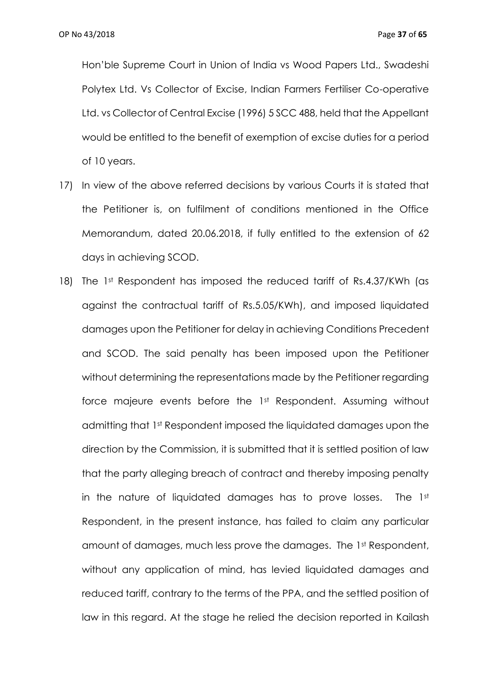Hon'ble Supreme Court in Union of India vs Wood Papers Ltd., Swadeshi Polytex Ltd. Vs Collector of Excise, Indian Farmers Fertiliser Co-operative Ltd. vs Collector of Central Excise (1996) 5 SCC 488, held that the Appellant would be entitled to the benefit of exemption of excise duties for a period of 10 years.

- 17) In view of the above referred decisions by various Courts it is stated that the Petitioner is, on fulfilment of conditions mentioned in the Office Memorandum, dated 20.06.2018, if fully entitled to the extension of 62 days in achieving SCOD.
- 18) The 1st Respondent has imposed the reduced tariff of Rs.4.37/KWh (as against the contractual tariff of Rs.5.05/KWh), and imposed liquidated damages upon the Petitioner for delay in achieving Conditions Precedent and SCOD. The said penalty has been imposed upon the Petitioner without determining the representations made by the Petitioner regarding force majeure events before the 1st Respondent. Assuming without admitting that 1st Respondent imposed the liquidated damages upon the direction by the Commission, it is submitted that it is settled position of law that the party alleging breach of contract and thereby imposing penalty in the nature of liquidated damages has to prove losses. The 1st Respondent, in the present instance, has failed to claim any particular amount of damages, much less prove the damages. The 1st Respondent, without any application of mind, has levied liquidated damages and reduced tariff, contrary to the terms of the PPA, and the settled position of law in this regard. At the stage he relied the decision reported in Kailash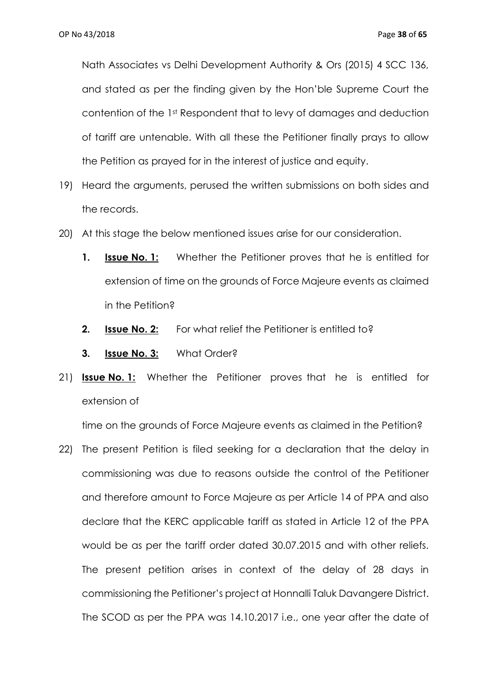Nath Associates vs Delhi Development Authority & Ors (2015) 4 SCC 136, and stated as per the finding given by the Hon'ble Supreme Court the contention of the 1st Respondent that to levy of damages and deduction of tariff are untenable. With all these the Petitioner finally prays to allow the Petition as prayed for in the interest of justice and equity.

- 19) Heard the arguments, perused the written submissions on both sides and the records.
- 20) At this stage the below mentioned issues arise for our consideration.
	- **1. Issue No. 1:** Whether the Petitioner proves that he is entitled for extension of time on the grounds of Force Majeure events as claimed in the Petition?
	- **2. Issue No. 2:** For what relief the Petitioner is entitled to?
	- **3. Issue No. 3:** What Order?
- 21) **Issue No. 1:** Whether the Petitioner proves that he is entitled for extension of

time on the grounds of Force Majeure events as claimed in the Petition?

22) The present Petition is filed seeking for a declaration that the delay in commissioning was due to reasons outside the control of the Petitioner and therefore amount to Force Majeure as per Article 14 of PPA and also declare that the KERC applicable tariff as stated in Article 12 of the PPA would be as per the tariff order dated 30.07.2015 and with other reliefs. The present petition arises in context of the delay of 28 days in commissioning the Petitioner's project at Honnalli Taluk Davangere District. The SCOD as per the PPA was 14.10.2017 i.e., one year after the date of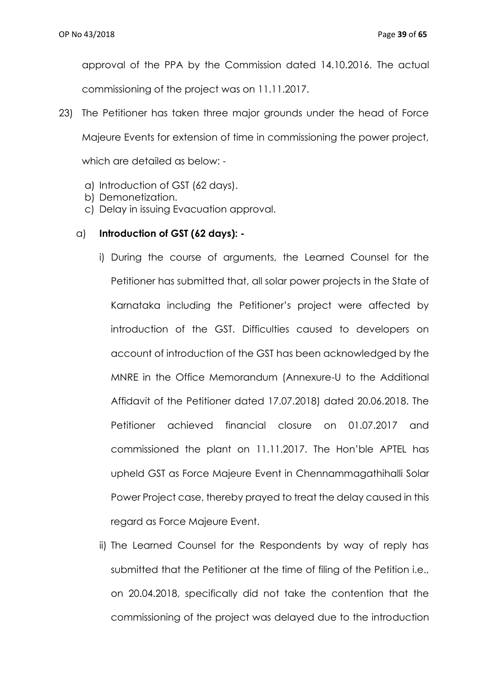approval of the PPA by the Commission dated 14.10.2016. The actual commissioning of the project was on 11.11.2017.

- 23) The Petitioner has taken three major grounds under the head of Force Majeure Events for extension of time in commissioning the power project, which are detailed as below:
	- a) Introduction of GST (62 days).
	- b) Demonetization.
	- c) Delay in issuing Evacuation approval.

## a) **Introduction of GST (62 days): -**

- i) During the course of arguments, the Learned Counsel for the Petitioner has submitted that, all solar power projects in the State of Karnataka including the Petitioner's project were affected by introduction of the GST. Difficulties caused to developers on account of introduction of the GST has been acknowledged by the MNRE in the Office Memorandum (Annexure-U to the Additional Affidavit of the Petitioner dated 17.07.2018) dated 20.06.2018. The Petitioner achieved financial closure on 01.07.2017 and commissioned the plant on 11.11.2017. The Hon'ble APTEL has upheld GST as Force Majeure Event in Chennammagathihalli Solar Power Project case, thereby prayed to treat the delay caused in this regard as Force Majeure Event.
- ii) The Learned Counsel for the Respondents by way of reply has submitted that the Petitioner at the time of filing of the Petition i.e., on 20.04.2018, specifically did not take the contention that the commissioning of the project was delayed due to the introduction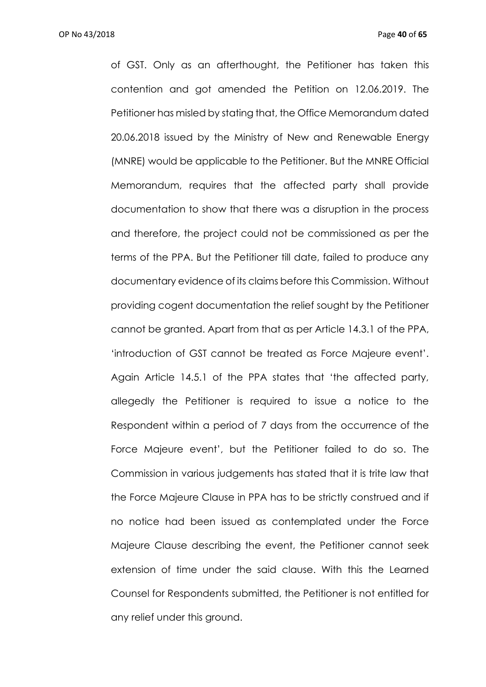of GST. Only as an afterthought, the Petitioner has taken this contention and got amended the Petition on 12.06.2019. The Petitioner has misled by stating that, the Office Memorandum dated 20.06.2018 issued by the Ministry of New and Renewable Energy (MNRE) would be applicable to the Petitioner. But the MNRE Official Memorandum, requires that the affected party shall provide documentation to show that there was a disruption in the process and therefore, the project could not be commissioned as per the terms of the PPA. But the Petitioner till date, failed to produce any documentary evidence of its claims before this Commission. Without providing cogent documentation the relief sought by the Petitioner cannot be granted. Apart from that as per Article 14.3.1 of the PPA, 'introduction of GST cannot be treated as Force Majeure event'. Again Article 14.5.1 of the PPA states that 'the affected party, allegedly the Petitioner is required to issue a notice to the Respondent within a period of 7 days from the occurrence of the Force Majeure event', but the Petitioner failed to do so. The Commission in various judgements has stated that it is trite law that the Force Majeure Clause in PPA has to be strictly construed and if no notice had been issued as contemplated under the Force Majeure Clause describing the event, the Petitioner cannot seek extension of time under the said clause. With this the Learned Counsel for Respondents submitted, the Petitioner is not entitled for any relief under this ground.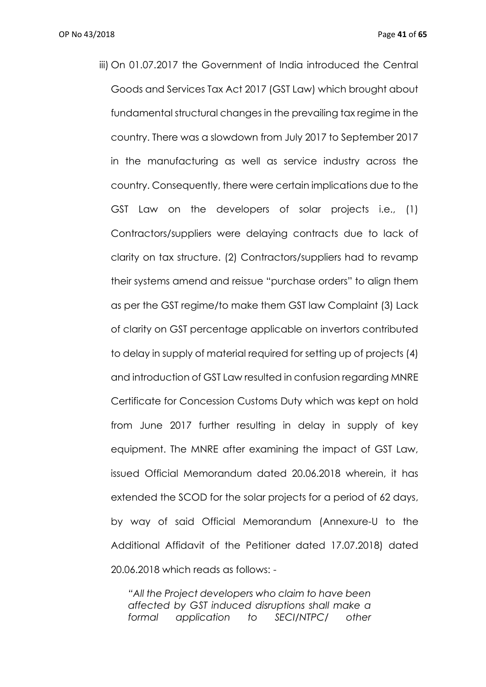iii) On 01.07.2017 the Government of India introduced the Central Goods and Services Tax Act 2017 (GST Law) which brought about fundamental structural changes in the prevailing tax regime in the country. There was a slowdown from July 2017 to September 2017 in the manufacturing as well as service industry across the country. Consequently, there were certain implications due to the GST Law on the developers of solar projects i.e., (1) Contractors/suppliers were delaying contracts due to lack of clarity on tax structure. (2) Contractors/suppliers had to revamp their systems amend and reissue "purchase orders" to align them as per the GST regime/to make them GST law Complaint (3) Lack of clarity on GST percentage applicable on invertors contributed to delay in supply of material required for setting up of projects (4) and introduction of GST Law resulted in confusion regarding MNRE Certificate for Concession Customs Duty which was kept on hold from June 2017 further resulting in delay in supply of key equipment. The MNRE after examining the impact of GST Law, issued Official Memorandum dated 20.06.2018 wherein, it has extended the SCOD for the solar projects for a period of 62 days, by way of said Official Memorandum (Annexure-U to the Additional Affidavit of the Petitioner dated 17.07.2018) dated 20.06.2018 which reads as follows: -

*"All the Project developers who claim to have been affected by GST induced disruptions shall make a formal application to SECI/NTPC/ other*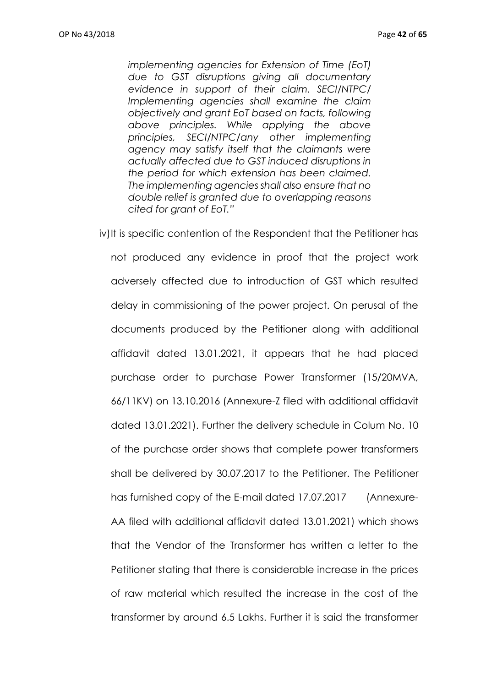*implementing agencies for Extension of Time (EoT) due to GST disruptions giving all documentary evidence in support of their claim. SECI/NTPC/ Implementing agencies shall examine the claim objectively and grant EoT based on facts, following above principles. While applying the above principles, SECI/NTPC/any other implementing agency may satisfy itself that the claimants were actually affected due to GST induced disruptions in the period for which extension has been claimed. The implementing agencies shall also ensure that no double relief is granted due to overlapping reasons cited for grant of EoT."*

iv)It is specific contention of the Respondent that the Petitioner has not produced any evidence in proof that the project work adversely affected due to introduction of GST which resulted delay in commissioning of the power project. On perusal of the documents produced by the Petitioner along with additional affidavit dated 13.01.2021, it appears that he had placed purchase order to purchase Power Transformer (15/20MVA, 66/11KV) on 13.10.2016 (Annexure-Z filed with additional affidavit dated 13.01.2021). Further the delivery schedule in Colum No. 10 of the purchase order shows that complete power transformers shall be delivered by 30.07.2017 to the Petitioner. The Petitioner has furnished copy of the E-mail dated 17.07.2017 (Annexure-AA filed with additional affidavit dated 13.01.2021) which shows that the Vendor of the Transformer has written a letter to the Petitioner stating that there is considerable increase in the prices of raw material which resulted the increase in the cost of the transformer by around 6.5 Lakhs. Further it is said the transformer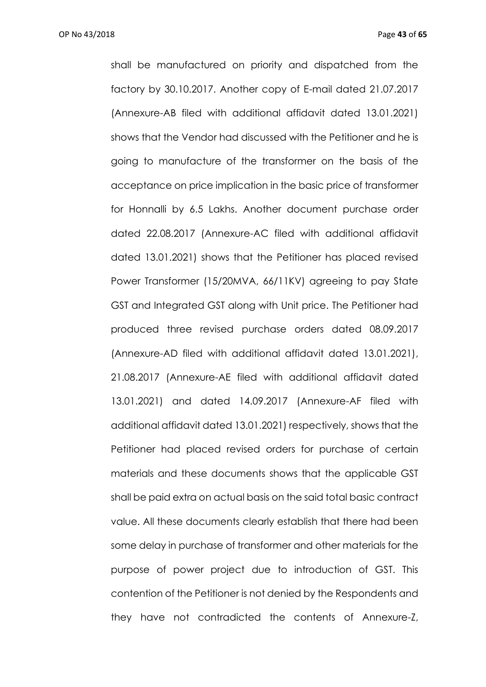shall be manufactured on priority and dispatched from the factory by 30.10.2017. Another copy of E-mail dated 21.07.2017 (Annexure-AB filed with additional affidavit dated 13.01.2021) shows that the Vendor had discussed with the Petitioner and he is going to manufacture of the transformer on the basis of the acceptance on price implication in the basic price of transformer for Honnalli by 6.5 Lakhs. Another document purchase order dated 22.08.2017 (Annexure-AC filed with additional affidavit dated 13.01.2021) shows that the Petitioner has placed revised Power Transformer (15/20MVA, 66/11KV) agreeing to pay State GST and Integrated GST along with Unit price. The Petitioner had produced three revised purchase orders dated 08.09.2017 (Annexure-AD filed with additional affidavit dated 13.01.2021), 21.08.2017 (Annexure-AE filed with additional affidavit dated 13.01.2021) and dated 14.09.2017 (Annexure-AF filed with additional affidavit dated 13.01.2021) respectively, shows that the Petitioner had placed revised orders for purchase of certain materials and these documents shows that the applicable GST shall be paid extra on actual basis on the said total basic contract value. All these documents clearly establish that there had been some delay in purchase of transformer and other materials for the purpose of power project due to introduction of GST. This contention of the Petitioner is not denied by the Respondents and they have not contradicted the contents of Annexure-Z,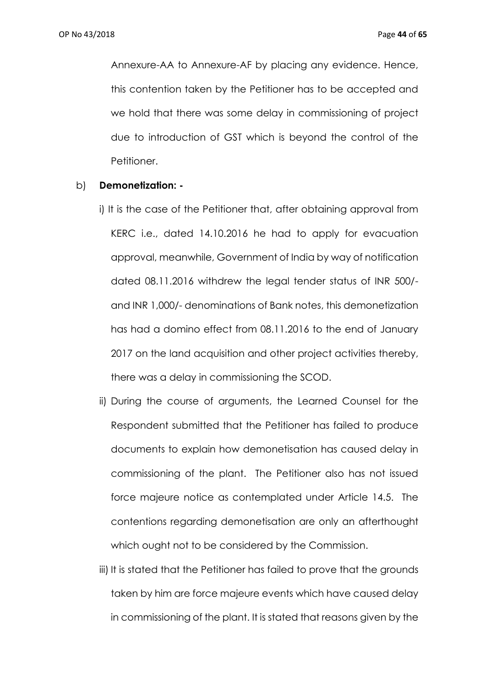Annexure-AA to Annexure-AF by placing any evidence. Hence, this contention taken by the Petitioner has to be accepted and we hold that there was some delay in commissioning of project due to introduction of GST which is beyond the control of the Petitioner.

#### b) **Demonetization: -**

- i) It is the case of the Petitioner that, after obtaining approval from KERC i.e., dated 14.10.2016 he had to apply for evacuation approval, meanwhile, Government of India by way of notification dated 08.11.2016 withdrew the legal tender status of INR 500/ and INR 1,000/- denominations of Bank notes, this demonetization has had a domino effect from 08.11.2016 to the end of January 2017 on the land acquisition and other project activities thereby, there was a delay in commissioning the SCOD.
- ii) During the course of arguments, the Learned Counsel for the Respondent submitted that the Petitioner has failed to produce documents to explain how demonetisation has caused delay in commissioning of the plant. The Petitioner also has not issued force majeure notice as contemplated under Article 14.5. The contentions regarding demonetisation are only an afterthought which ought not to be considered by the Commission.
- iii) It is stated that the Petitioner has failed to prove that the grounds taken by him are force majeure events which have caused delay in commissioning of the plant. It is stated that reasons given by the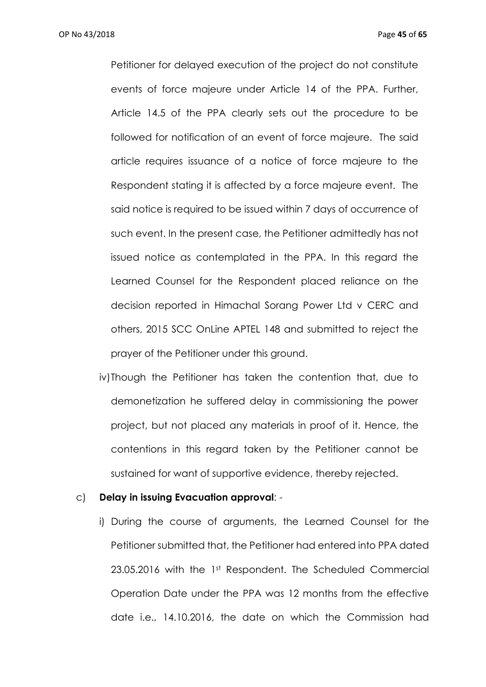OP No 43/2018 Page **45** of **65**

Petitioner for delayed execution of the project do not constitute events of force majeure under Article 14 of the PPA. Further, Article 14.5 of the PPA clearly sets out the procedure to be followed for notification of an event of force majeure. The said article requires issuance of a notice of force majeure to the Respondent stating it is affected by a force majeure event. The said notice is required to be issued within 7 days of occurrence of such event. In the present case, the Petitioner admittedly has not issued notice as contemplated in the PPA. In this regard the Learned Counsel for the Respondent placed reliance on the decision reported in Himachal Sorang Power Ltd v CERC and others, 2015 SCC OnLine APTEL 148 and submitted to reject the prayer of the Petitioner under this ground.

iv)Though the Petitioner has taken the contention that, due to demonetization he suffered delay in commissioning the power project, but not placed any materials in proof of it. Hence, the contentions in this regard taken by the Petitioner cannot be sustained for want of supportive evidence, thereby rejected.

#### c) **Delay in issuing Evacuation approval**: -

i) During the course of arguments, the Learned Counsel for the Petitioner submitted that, the Petitioner had entered into PPA dated 23.05.2016 with the 1st Respondent. The Scheduled Commercial Operation Date under the PPA was 12 months from the effective date i.e., 14.10.2016, the date on which the Commission had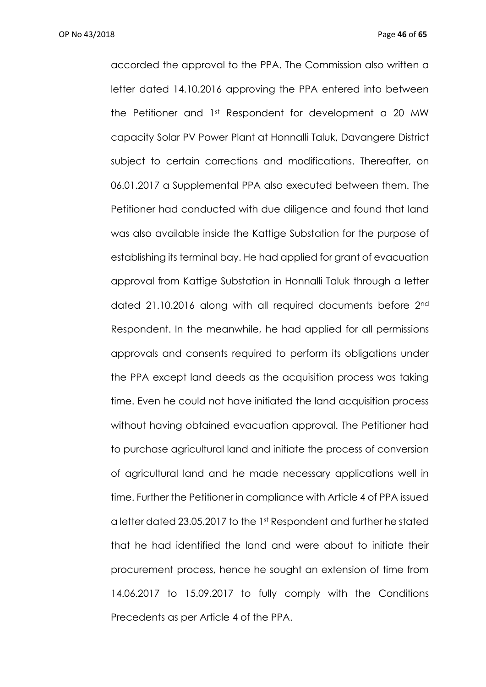OP No 43/2018 Page **46** of **65**

accorded the approval to the PPA. The Commission also written a letter dated 14.10.2016 approving the PPA entered into between the Petitioner and 1st Respondent for development a 20 MW capacity Solar PV Power Plant at Honnalli Taluk, Davangere District subject to certain corrections and modifications. Thereafter, on 06.01.2017 a Supplemental PPA also executed between them. The Petitioner had conducted with due diligence and found that land was also available inside the Kattige Substation for the purpose of establishing its terminal bay. He had applied for grant of evacuation approval from Kattige Substation in Honnalli Taluk through a letter dated 21.10.2016 along with all required documents before 2nd Respondent. In the meanwhile, he had applied for all permissions approvals and consents required to perform its obligations under the PPA except land deeds as the acquisition process was taking time. Even he could not have initiated the land acquisition process without having obtained evacuation approval. The Petitioner had to purchase agricultural land and initiate the process of conversion of agricultural land and he made necessary applications well in time. Further the Petitioner in compliance with Article 4 of PPA issued a letter dated 23.05.2017 to the 1st Respondent and further he stated that he had identified the land and were about to initiate their procurement process, hence he sought an extension of time from 14.06.2017 to 15.09.2017 to fully comply with the Conditions Precedents as per Article 4 of the PPA.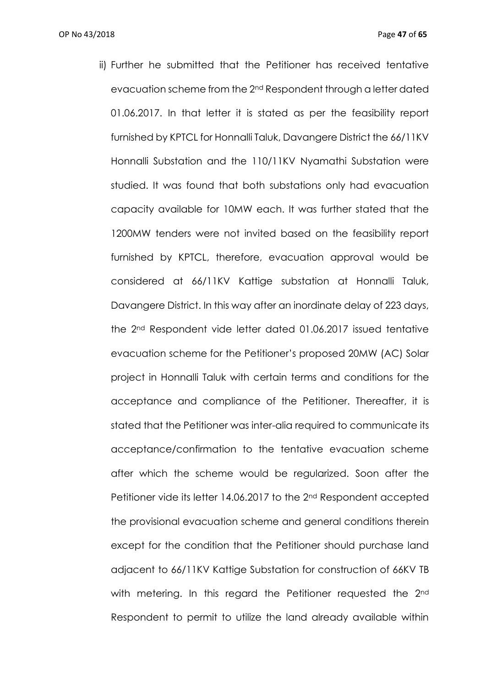ii) Further he submitted that the Petitioner has received tentative evacuation scheme from the 2nd Respondent through a letter dated 01.06.2017. In that letter it is stated as per the feasibility report furnished by KPTCL for Honnalli Taluk, Davangere District the 66/11KV Honnalli Substation and the 110/11KV Nyamathi Substation were studied. It was found that both substations only had evacuation capacity available for 10MW each. It was further stated that the 1200MW tenders were not invited based on the feasibility report furnished by KPTCL, therefore, evacuation approval would be considered at 66/11KV Kattige substation at Honnalli Taluk, Davangere District. In this way after an inordinate delay of 223 days, the 2nd Respondent vide letter dated 01.06.2017 issued tentative evacuation scheme for the Petitioner's proposed 20MW (AC) Solar project in Honnalli Taluk with certain terms and conditions for the acceptance and compliance of the Petitioner. Thereafter, it is stated that the Petitioner was inter-alia required to communicate its acceptance/confirmation to the tentative evacuation scheme after which the scheme would be regularized. Soon after the Petitioner vide its letter 14.06.2017 to the 2nd Respondent accepted the provisional evacuation scheme and general conditions therein except for the condition that the Petitioner should purchase land adjacent to 66/11KV Kattige Substation for construction of 66KV TB with metering. In this regard the Petitioner requested the 2<sup>nd</sup> Respondent to permit to utilize the land already available within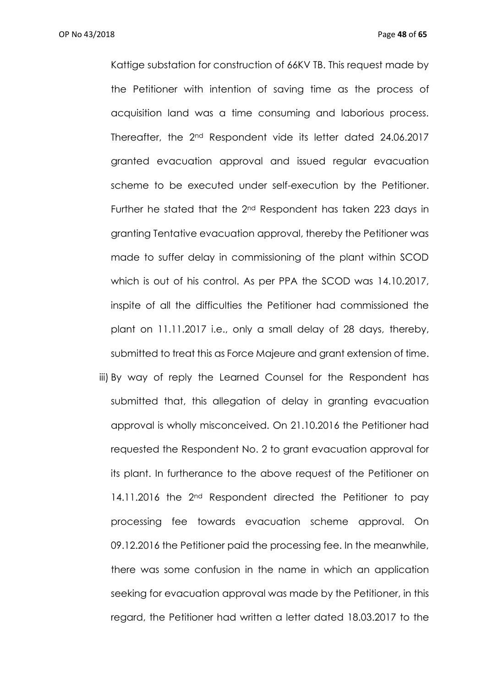Kattige substation for construction of 66KV TB. This request made by the Petitioner with intention of saving time as the process of acquisition land was a time consuming and laborious process. Thereafter, the 2nd Respondent vide its letter dated 24.06.2017 granted evacuation approval and issued regular evacuation scheme to be executed under self-execution by the Petitioner. Further he stated that the 2nd Respondent has taken 223 days in granting Tentative evacuation approval, thereby the Petitioner was made to suffer delay in commissioning of the plant within SCOD which is out of his control. As per PPA the SCOD was 14.10.2017, inspite of all the difficulties the Petitioner had commissioned the plant on 11.11.2017 i.e., only a small delay of 28 days, thereby, submitted to treat this as Force Majeure and grant extension of time. iii) By way of reply the Learned Counsel for the Respondent has

submitted that, this allegation of delay in granting evacuation approval is wholly misconceived. On 21.10.2016 the Petitioner had requested the Respondent No. 2 to grant evacuation approval for its plant. In furtherance to the above request of the Petitioner on 14.11.2016 the 2<sup>nd</sup> Respondent directed the Petitioner to pay processing fee towards evacuation scheme approval. On 09.12.2016 the Petitioner paid the processing fee. In the meanwhile, there was some confusion in the name in which an application seeking for evacuation approval was made by the Petitioner, in this regard, the Petitioner had written a letter dated 18.03.2017 to the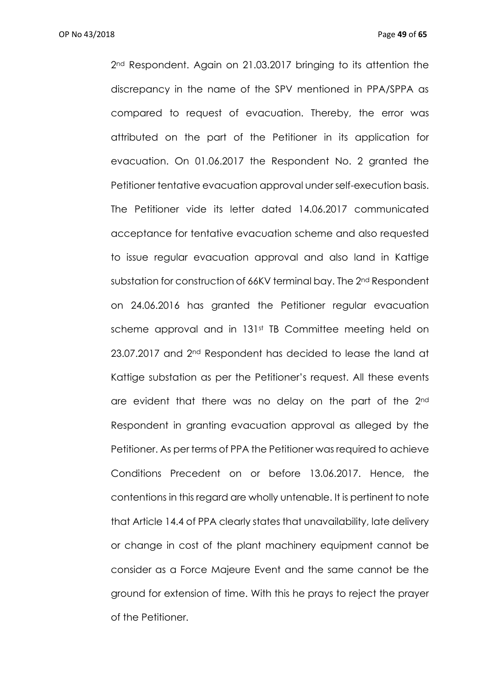2nd Respondent. Again on 21.03.2017 bringing to its attention the discrepancy in the name of the SPV mentioned in PPA/SPPA as compared to request of evacuation. Thereby, the error was attributed on the part of the Petitioner in its application for evacuation. On 01.06.2017 the Respondent No. 2 granted the Petitioner tentative evacuation approval under self-execution basis. The Petitioner vide its letter dated 14.06.2017 communicated acceptance for tentative evacuation scheme and also requested to issue regular evacuation approval and also land in Kattige substation for construction of 66KV terminal bay. The 2nd Respondent on 24.06.2016 has granted the Petitioner regular evacuation scheme approval and in 131<sup>st</sup> TB Committee meeting held on 23.07.2017 and 2<sup>nd</sup> Respondent has decided to lease the land at Kattige substation as per the Petitioner's request. All these events are evident that there was no delay on the part of the 2<sup>nd</sup> Respondent in granting evacuation approval as alleged by the Petitioner. As per terms of PPA the Petitioner was required to achieve Conditions Precedent on or before 13.06.2017. Hence, the contentions in this regard are wholly untenable. It is pertinent to note that Article 14.4 of PPA clearly states that unavailability, late delivery or change in cost of the plant machinery equipment cannot be consider as a Force Majeure Event and the same cannot be the ground for extension of time. With this he prays to reject the prayer of the Petitioner.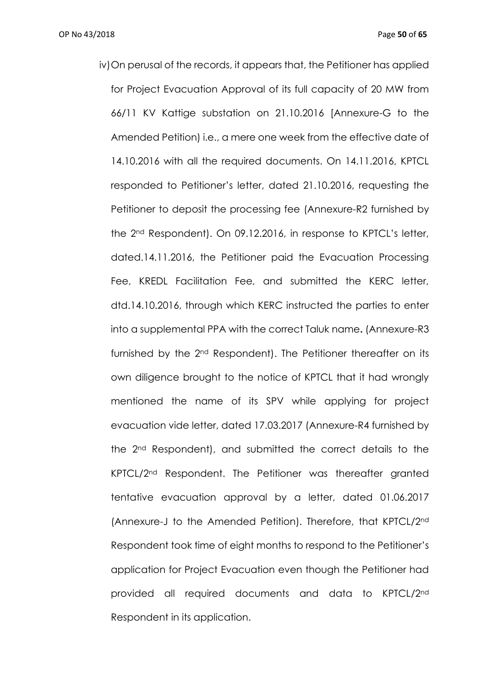iv)On perusal of the records, it appears that, the Petitioner has applied for Project Evacuation Approval of its full capacity of 20 MW from 66/11 KV Kattige substation on 21.10.2016 [Annexure-G to the Amended Petition) i.e., a mere one week from the effective date of 14.10.2016 with all the required documents. On 14.11.2016, KPTCL responded to Petitioner's letter, dated 21.10.2016, requesting the Petitioner to deposit the processing fee (Annexure-R2 furnished by the 2nd Respondent). On 09.12.2016, in response to KPTCL's letter, dated.14.11.2016, the Petitioner paid the Evacuation Processing Fee, KREDL Facilitation Fee, and submitted the KERC letter, dtd.14.10.2016, through which KERC instructed the parties to enter into a supplemental PPA with the correct Taluk name**.** (Annexure-R3 furnished by the 2nd Respondent). The Petitioner thereafter on its own diligence brought to the notice of KPTCL that it had wrongly mentioned the name of its SPV while applying for project evacuation vide letter, dated 17.03.2017 (Annexure-R4 furnished by the 2nd Respondent), and submitted the correct details to the KPTCL/2nd Respondent. The Petitioner was thereafter granted tentative evacuation approval by a letter, dated 01.06.2017 (Annexure-J to the Amended Petition). Therefore, that KPTCL/2nd Respondent took time of eight months to respond to the Petitioner's application for Project Evacuation even though the Petitioner had provided all required documents and data to KPTCL/2nd Respondent in its application.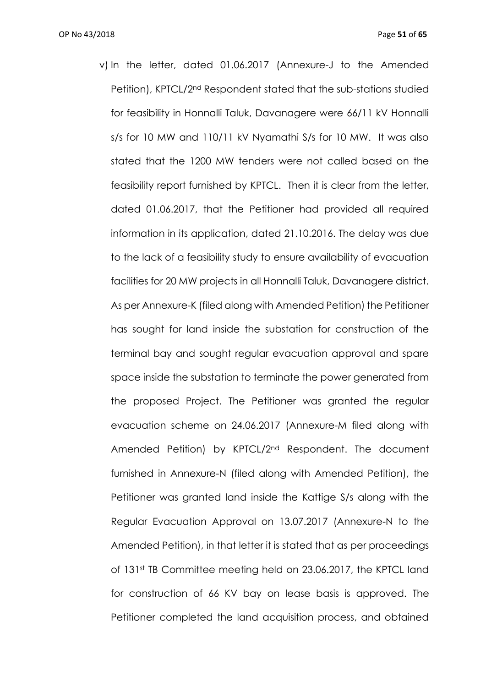v) In the letter, dated 01.06.2017 (Annexure-J to the Amended Petition), KPTCL/2nd Respondent stated that the sub-stations studied for feasibility in Honnalli Taluk, Davanagere were 66/11 kV Honnalli s/s for 10 MW and 110/11 kV Nyamathi S/s for 10 MW. It was also stated that the 1200 MW tenders were not called based on the feasibility report furnished by KPTCL. Then it is clear from the letter, dated 01.06.2017, that the Petitioner had provided all required information in its application, dated 21.10.2016. The delay was due to the lack of a feasibility study to ensure availability of evacuation facilities for 20 MW projects in all Honnalli Taluk, Davanagere district. As per Annexure-K (filed along with Amended Petition) the Petitioner has sought for land inside the substation for construction of the terminal bay and sought regular evacuation approval and spare space inside the substation to terminate the power generated from the proposed Project. The Petitioner was granted the regular evacuation scheme on 24.06.2017 (Annexure-M filed along with Amended Petition) by KPTCL/2nd Respondent. The document furnished in Annexure-N (filed along with Amended Petition), the Petitioner was granted land inside the Kattige S/s along with the Regular Evacuation Approval on 13.07.2017 (Annexure-N to the Amended Petition), in that letter it is stated that as per proceedings of 131st TB Committee meeting held on 23.06.2017, the KPTCL land for construction of 66 KV bay on lease basis is approved. The Petitioner completed the land acquisition process, and obtained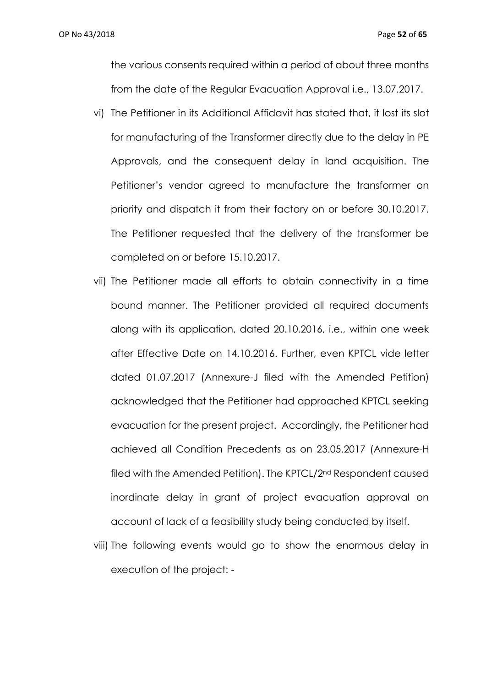the various consents required within a period of about three months from the date of the Regular Evacuation Approval i.e., 13.07.2017.

- vi) The Petitioner in its Additional Affidavit has stated that, it lost its slot for manufacturing of the Transformer directly due to the delay in PE Approvals, and the consequent delay in land acquisition. The Petitioner's vendor agreed to manufacture the transformer on priority and dispatch it from their factory on or before 30.10.2017. The Petitioner requested that the delivery of the transformer be completed on or before 15.10.2017.
- vii) The Petitioner made all efforts to obtain connectivity in a time bound manner. The Petitioner provided all required documents along with its application, dated 20.10.2016, i.e., within one week after Effective Date on 14.10.2016. Further, even KPTCL vide letter dated 01.07.2017 (Annexure-J filed with the Amended Petition) acknowledged that the Petitioner had approached KPTCL seeking evacuation for the present project. Accordingly, the Petitioner had achieved all Condition Precedents as on 23.05.2017 (Annexure-H filed with the Amended Petition). The KPTCL/2nd Respondent caused inordinate delay in grant of project evacuation approval on account of lack of a feasibility study being conducted by itself.
- viii) The following events would go to show the enormous delay in execution of the project: -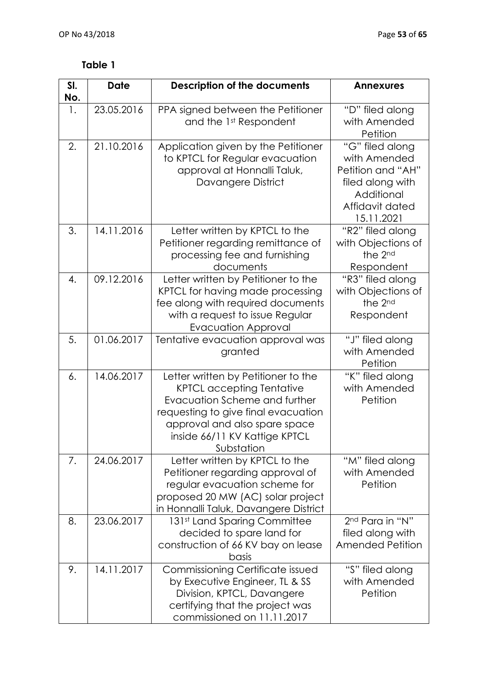# **Table 1**

| SI.<br>No. | <b>Date</b> | <b>Description of the documents</b>                                                                                                                                                                                             | <b>Annexures</b>                                                                                                        |
|------------|-------------|---------------------------------------------------------------------------------------------------------------------------------------------------------------------------------------------------------------------------------|-------------------------------------------------------------------------------------------------------------------------|
| 1.         | 23.05.2016  | PPA signed between the Petitioner<br>and the 1st Respondent                                                                                                                                                                     | "D" filed along<br>with Amended<br>Petition                                                                             |
| 2.         | 21.10.2016  | Application given by the Petitioner<br>to KPTCL for Regular evacuation<br>approval at Honnalli Taluk,<br>Davangere District                                                                                                     | "G" filed along<br>with Amended<br>Petition and "AH"<br>filed along with<br>Additional<br>Affidavit dated<br>15.11.2021 |
| 3.         | 14.11.2016  | Letter written by KPTCL to the<br>Petitioner regarding remittance of<br>processing fee and furnishing<br>documents                                                                                                              | "R2" filed along<br>with Objections of<br>the 2nd<br>Respondent                                                         |
| 4.         | 09.12.2016  | Letter written by Petitioner to the<br>KPTCL for having made processing<br>fee along with required documents<br>with a request to issue Regular<br><b>Evacuation Approval</b>                                                   | "R3" filed along<br>with Objections of<br>the 2nd<br>Respondent                                                         |
| 5.         | 01.06.2017  | Tentative evacuation approval was<br>granted                                                                                                                                                                                    | "J" filed along<br>with Amended<br>Petition                                                                             |
| 6.         | 14.06.2017  | Letter written by Petitioner to the<br><b>KPTCL accepting Tentative</b><br>Evacuation Scheme and further<br>requesting to give final evacuation<br>approval and also spare space<br>inside 66/11 KV Kattige KPTCL<br>Substation | "K" filed along<br>with Amended<br>Petition                                                                             |
| 7.         | 24.06.2017  | Letter written by KPTCL to the<br>Petitioner regarding approval of<br>regular evacuation scheme for<br>proposed 20 MW (AC) solar project<br>in Honnalli Taluk, Davangere District                                               | "M" filed along<br>with Amended<br>Petition                                                                             |
| 8.         | 23.06.2017  | 131st Land Sparing Committee<br>decided to spare land for<br>construction of 66 KV bay on lease<br>basis                                                                                                                        | 2nd Para in "N"<br>filed along with<br><b>Amended Petition</b>                                                          |
| 9.         | 14.11.2017  | Commissioning Certificate issued<br>by Executive Engineer, TL & SS<br>Division, KPTCL, Davangere<br>certifying that the project was<br>commissioned on 11.11.2017                                                               | "S" filed along<br>with Amended<br>Petition                                                                             |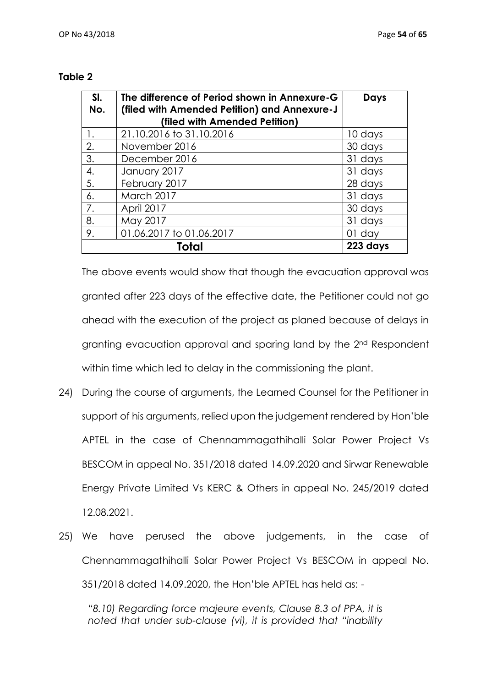| SI.<br>No. | The difference of Period shown in Annexure-G<br>(filed with Amended Petition) and Annexure-J<br>(filed with Amended Petition) | Days     |
|------------|-------------------------------------------------------------------------------------------------------------------------------|----------|
| 1.         | 21.10.2016 to 31.10.2016                                                                                                      | 10 days  |
| 2.         | November 2016                                                                                                                 | 30 days  |
| 3.         | December 2016                                                                                                                 | 31 days  |
| 4.         | January 2017                                                                                                                  | 31 days  |
| 5.         | February 2017                                                                                                                 | 28 days  |
| 6.         | March 2017                                                                                                                    | 31 days  |
| 7.         | April 2017                                                                                                                    | 30 days  |
| 8.         | May 2017                                                                                                                      | 31 days  |
| 9.         | 01.06.2017 to 01.06.2017                                                                                                      | $01$ day |
|            | 223 days                                                                                                                      |          |

### **Table 2**

The above events would show that though the evacuation approval was granted after 223 days of the effective date, the Petitioner could not go ahead with the execution of the project as planed because of delays in granting evacuation approval and sparing land by the 2nd Respondent within time which led to delay in the commissioning the plant.

- 24) During the course of arguments, the Learned Counsel for the Petitioner in support of his arguments, relied upon the judgement rendered by Hon'ble APTEL in the case of Chennammagathihalli Solar Power Project Vs BESCOM in appeal No. 351/2018 dated 14.09.2020 and Sirwar Renewable Energy Private Limited Vs KERC & Others in appeal No. 245/2019 dated 12.08.2021.
- 25) We have perused the above judgements, in the case of Chennammagathihalli Solar Power Project Vs BESCOM in appeal No. 351/2018 dated 14.09.2020, the Hon'ble APTEL has held as: -

*"8.10) Regarding force majeure events, Clause 8.3 of PPA, it is noted that under sub-clause (vi), it is provided that "inability*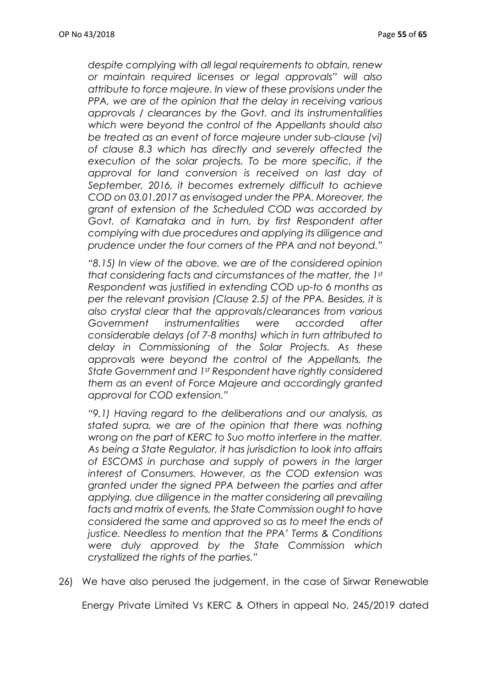*despite complying with all legal requirements to obtain, renew or maintain required licenses or legal approvals" will also attribute to force majeure. In view of these provisions under the PPA, we are of the opinion that the delay in receiving various approvals / clearances by the Govt. and its instrumentalities which were beyond the control of the Appellants should also be treated as an event of force majeure under sub-clause (vi) of clause 8.3 which has directly and severely affected the execution of the solar projects. To be more specific, if the approval for land conversion is received on last day of September, 2016, it becomes extremely difficult to achieve COD on 03.01.2017 as envisaged under the PPA. Moreover, the grant of extension of the Scheduled COD was accorded by Govt. of Karnataka and in turn, by first Respondent after complying with due procedures and applying its diligence and prudence under the four corners of the PPA and not beyond."*

*"8.15) In view of the above, we are of the considered opinion that considering facts and circumstances of the matter, the 1st Respondent was justified in extending COD up-to 6 months as per the relevant provision (Clause 2.5) of the PPA. Besides, it is also crystal clear that the approvals/clearances from various Government instrumentalities were accorded after considerable delays (of 7-8 months) which in turn attributed to delay in Commissioning of the Solar Projects. As these approvals were beyond the control of the Appellants, the State Government and 1st Respondent have rightly considered them as an event of Force Majeure and accordingly granted approval for COD extension."*

*"9.1) Having regard to the deliberations and our analysis, as stated supra, we are of the opinion that there was nothing wrong on the part of KERC to Suo motto interfere in the matter. As being a State Regulator, it has jurisdiction to look into affairs of ESCOMS in purchase and supply of powers in the larger interest of Consumers. However, as the COD extension was granted under the signed PPA between the parties and after applying, due diligence in the matter considering all prevailing facts and matrix of events, the State Commission ought to have considered the same and approved so as to meet the ends of justice. Needless to mention that the PPA' Terms & Conditions were duly approved by the State Commission which crystallized the rights of the parties."*

26) We have also perused the judgement, in the case of Sirwar Renewable

Energy Private Limited Vs KERC & Others in appeal No. 245/2019 dated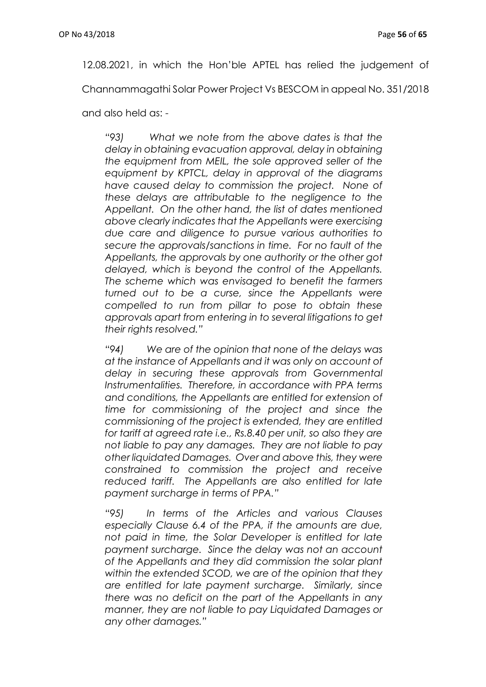12.08.2021, in which the Hon'ble APTEL has relied the judgement of

Channammagathi Solar Power Project Vs BESCOM in appeal No. 351/2018

and also held as: -

*"93) What we note from the above dates is that the delay in obtaining evacuation approval, delay in obtaining the equipment from MEIL, the sole approved seller of the equipment by KPTCL, delay in approval of the diagrams have caused delay to commission the project. None of these delays are attributable to the negligence to the Appellant. On the other hand, the list of dates mentioned above clearly indicates that the Appellants were exercising due care and diligence to pursue various authorities to secure the approvals/sanctions in time. For no fault of the Appellants, the approvals by one authority or the other got delayed, which is beyond the control of the Appellants. The scheme which was envisaged to benefit the farmers turned out to be a curse, since the Appellants were compelled to run from pillar to pose to obtain these approvals apart from entering in to several litigations to get their rights resolved."*

*"94) We are of the opinion that none of the delays was at the instance of Appellants and it was only on account of delay in securing these approvals from Governmental Instrumentalities. Therefore, in accordance with PPA terms and conditions, the Appellants are entitled for extension of time for commissioning of the project and since the commissioning of the project is extended, they are entitled for tariff at agreed rate i.e., Rs.8.40 per unit, so also they are not liable to pay any damages. They are not liable to pay other liquidated Damages. Over and above this, they were constrained to commission the project and receive reduced tariff. The Appellants are also entitled for late payment surcharge in terms of PPA."*

*"95) In terms of the Articles and various Clauses especially Clause 6.4 of the PPA, if the amounts are due, not paid in time, the Solar Developer is entitled for late payment surcharge. Since the delay was not an account of the Appellants and they did commission the solar plant within the extended SCOD, we are of the opinion that they are entitled for late payment surcharge. Similarly, since there was no deficit on the part of the Appellants in any manner, they are not liable to pay Liquidated Damages or any other damages."*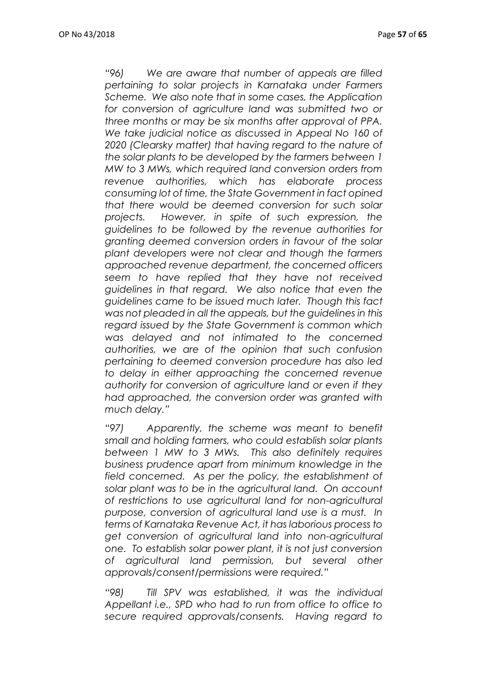*"96) We are aware that number of appeals are filled pertaining to solar projects in Karnataka under Farmers Scheme. We also note that in some cases, the Application for conversion of agriculture land was submitted two or three months or may be six months after approval of PPA. We take judicial notice as discussed in Appeal No 160 of*  2020 (Clearsky matter) that having regard to the nature of *the solar plants to be developed by the farmers between 1 MW to 3 MWs, which required land conversion orders from revenue authorities, which has elaborate process consuming lot of time, the State Government in fact opined that there would be deemed conversion for such solar projects. However, in spite of such expression, the guidelines to be followed by the revenue authorities for granting deemed conversion orders in favour of the solar plant developers were not clear and though the farmers approached revenue department, the concerned officers seem to have replied that they have not received guidelines in that regard. We also notice that even the guidelines came to be issued much later. Though this fact was not pleaded in all the appeals, but the guidelines in this regard issued by the State Government is common which was delayed and not intimated to the concerned authorities, we are of the opinion that such confusion pertaining to deemed conversion procedure has also led to delay in either approaching the concerned revenue authority for conversion of agriculture land or even if they had approached, the conversion order was granted with much delay."*

*"97) Apparently, the scheme was meant to benefit small and holding farmers, who could establish solar plants between 1 MW to 3 MWs. This also definitely requires business prudence apart from minimum knowledge in the field concerned. As per the policy, the establishment of solar plant was to be in the agricultural land. On account of restrictions to use agricultural land for non-agricultural purpose, conversion of agricultural land use is a must. In terms of Karnataka Revenue Act, it has laborious process to get conversion of agricultural land into non-agricultural one. To establish solar power plant, it is not just conversion of agricultural land permission, but several other approvals/consent/permissions were required."*

*"98) Till SPV was established, it was the individual Appellant i.e., SPD who had to run from office to office to secure required approvals/consents. Having regard to*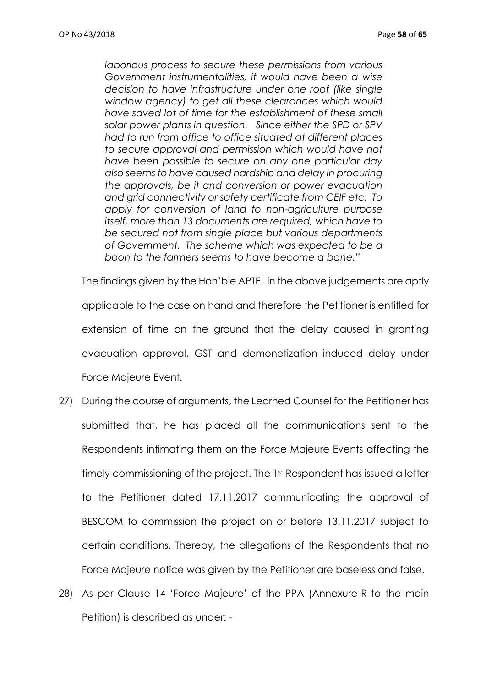*laborious process to secure these permissions from various Government instrumentalities, it would have been a wise decision to have infrastructure under one roof (like single window agency) to get all these clearances which would have saved lot of time for the establishment of these small solar power plants in question. Since either the SPD or SPV had to run from office to office situated at different places to secure approval and permission which would have not have been possible to secure on any one particular day also seems to have caused hardship and delay in procuring the approvals, be it and conversion or power evacuation and grid connectivity or safety certificate from CEIF etc. To apply for conversion of land to non-agriculture purpose itself, more than 13 documents are required, which have to be secured not from single place but various departments of Government. The scheme which was expected to be a boon to the farmers seems to have become a bane."*

The findings given by the Hon'ble APTEL in the above judgements are aptly applicable to the case on hand and therefore the Petitioner is entitled for extension of time on the ground that the delay caused in granting evacuation approval, GST and demonetization induced delay under Force Majeure Event.

- 27) During the course of arguments, the Learned Counsel for the Petitioner has submitted that, he has placed all the communications sent to the Respondents intimating them on the Force Majeure Events affecting the timely commissioning of the project. The 1st Respondent has issued a letter to the Petitioner dated 17.11.2017 communicating the approval of BESCOM to commission the project on or before 13.11.2017 subject to certain conditions. Thereby, the allegations of the Respondents that no Force Majeure notice was given by the Petitioner are baseless and false.
- 28) As per Clause 14 'Force Majeure' of the PPA (Annexure-R to the main Petition) is described as under: -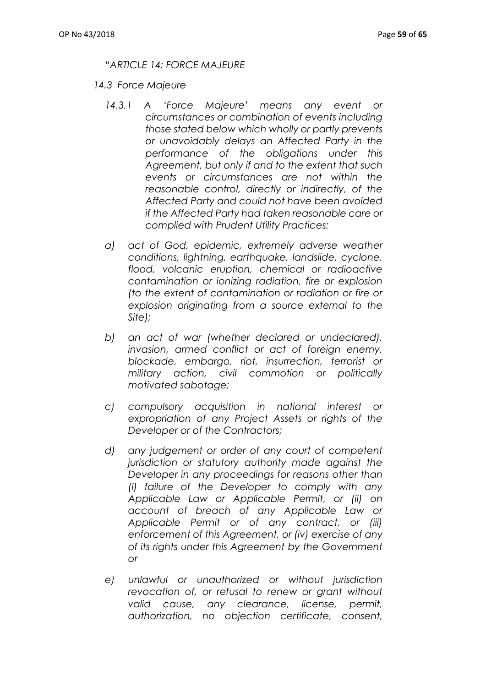## *"ARTICLE 14: FORCE MAJEURE*

- *14.3 Force Majeure*
	- *14.3.1 A 'Force Majeure' means any event or circumstances or combination of events including those stated below which wholly or partly prevents or unavoidably delays an Affected Party in the performance of the obligations under this Agreement, but only if and to the extent that such events or circumstances are not within the reasonable control, directly or indirectly, of the Affected Party and could not have been avoided if the Affected Party had taken reasonable care or complied with Prudent Utility Practices:*
	- *a) act of God, epidemic, extremely adverse weather conditions, lightning, earthquake, landslide, cyclone, flood, volcanic eruption, chemical or radioactive contamination or ionizing radiation, fire or explosion (to the extent of contamination or radiation or fire or explosion originating from a source external to the Site);*
	- *b) an act of war (whether declared or undeclared), invasion, armed conflict or act of foreign enemy, blockade, embargo, riot, insurrection, terrorist or military action, civil commotion or politically motivated sabotage;*
	- *c) compulsory acquisition in national interest or expropriation of any Project Assets or rights of the Developer or of the Contractors;*
	- *d) any judgement or order of any court of competent jurisdiction or statutory authority made against the Developer in any proceedings for reasons other than (i) failure of the Developer to comply with any Applicable Law or Applicable Permit, or (ii) on account of breach of any Applicable Law or Applicable Permit or of any contract, or (iii) enforcement of this Agreement, or (iv) exercise of any of its rights under this Agreement by the Government or*
	- *e) unlawful or unauthorized or without jurisdiction revocation of, or refusal to renew or grant without valid cause, any clearance, license, permit, authorization, no objection certificate, consent,*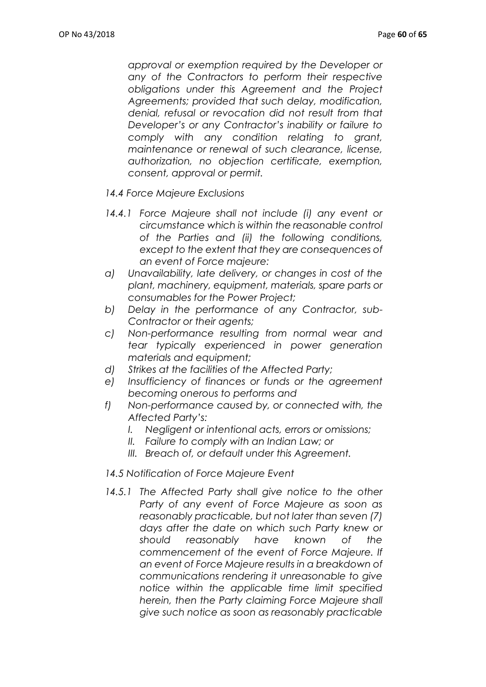*approval or exemption required by the Developer or any of the Contractors to perform their respective obligations under this Agreement and the Project Agreements; provided that such delay, modification, denial, refusal or revocation did not result from that Developer's or any Contractor's inability or failure to comply with any condition relating to grant, maintenance or renewal of such clearance, license, authorization, no objection certificate, exemption, consent, approval or permit.*

- *14.4 Force Majeure Exclusions*
- 14.4.1 Force Majeure shall not include (i) any event or *circumstance which is within the reasonable control of the Parties and (ii) the following conditions, except to the extent that they are consequences of an event of Force majeure:*
- *a) Unavailability, late delivery, or changes in cost of the plant, machinery, equipment, materials, spare parts or consumables for the Power Project;*
- *b) Delay in the performance of any Contractor, sub-Contractor or their agents;*
- *c) Non-performance resulting from normal wear and tear typically experienced in power generation materials and equipment;*
- *d) Strikes at the facilities of the Affected Party;*
- *e) Insufficiency of finances or funds or the agreement becoming onerous to performs and*
- *f) Non-performance caused by, or connected with, the Affected Party's:*
	- *I. Negligent or intentional acts, errors or omissions;*
	- *II. Failure to comply with an Indian Law; or*
	- *III. Breach of, or default under this Agreement.*

#### *14.5 Notification of Force Majeure Event*

14.5.1 The Affected Party shall give notice to the other *Party of any event of Force Majeure as soon as reasonably practicable, but not later than seven (7) days after the date on which such Party knew or should reasonably have known of the commencement of the event of Force Majeure. If an event of Force Majeure results in a breakdown of communications rendering it unreasonable to give notice within the applicable time limit specified herein, then the Party claiming Force Majeure shall give such notice as soon as reasonably practicable*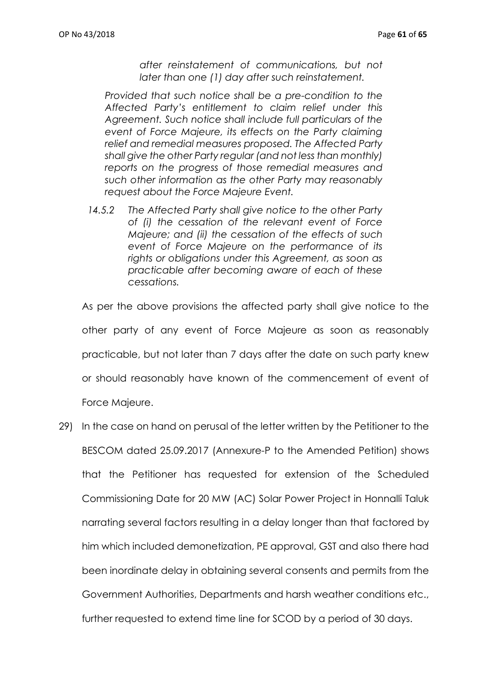*after reinstatement of communications, but not later than one (1) day after such reinstatement.*

*Provided that such notice shall be a pre-condition to the Affected Party's entitlement to claim relief under this Agreement. Such notice shall include full particulars of the event of Force Majeure, its effects on the Party claiming relief and remedial measures proposed. The Affected Party shall give the other Party regular (and not less than monthly) reports on the progress of those remedial measures and such other information as the other Party may reasonably request about the Force Majeure Event.*

*14.5.2 The Affected Party shall give notice to the other Party of (i) the cessation of the relevant event of Force Majeure; and (ii) the cessation of the effects of such event of Force Majeure on the performance of its rights or obligations under this Agreement, as soon as practicable after becoming aware of each of these cessations.*

As per the above provisions the affected party shall give notice to the other party of any event of Force Majeure as soon as reasonably practicable, but not later than 7 days after the date on such party knew or should reasonably have known of the commencement of event of

Force Majeure.

29) In the case on hand on perusal of the letter written by the Petitioner to the BESCOM dated 25.09.2017 (Annexure-P to the Amended Petition) shows that the Petitioner has requested for extension of the Scheduled Commissioning Date for 20 MW (AC) Solar Power Project in Honnalli Taluk narrating several factors resulting in a delay longer than that factored by him which included demonetization, PE approval, GST and also there had been inordinate delay in obtaining several consents and permits from the Government Authorities, Departments and harsh weather conditions etc., further requested to extend time line for SCOD by a period of 30 days.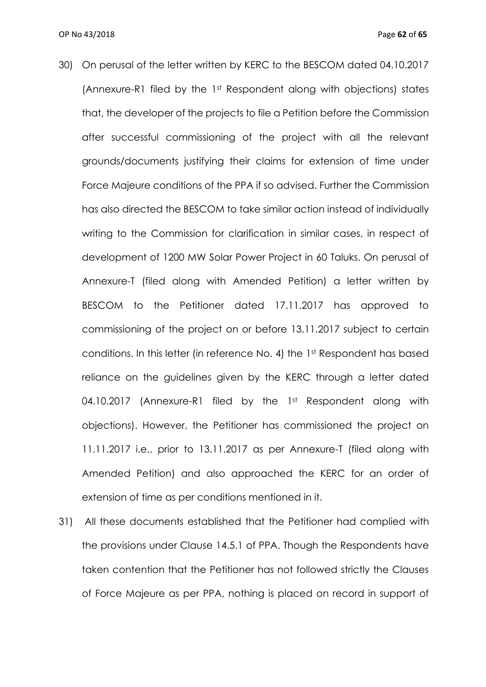- 30) On perusal of the letter written by KERC to the BESCOM dated 04.10.2017 (Annexure-R1 filed by the 1st Respondent along with objections) states that, the developer of the projects to file a Petition before the Commission after successful commissioning of the project with all the relevant grounds/documents justifying their claims for extension of time under Force Majeure conditions of the PPA if so advised. Further the Commission has also directed the BESCOM to take similar action instead of individually writing to the Commission for clarification in similar cases, in respect of development of 1200 MW Solar Power Project in 60 Taluks. On perusal of Annexure-T (filed along with Amended Petition) a letter written by BESCOM to the Petitioner dated 17.11.2017 has approved to commissioning of the project on or before 13.11.2017 subject to certain conditions. In this letter (in reference No. 4) the 1st Respondent has based reliance on the guidelines given by the KERC through a letter dated 04.10.2017 (Annexure-R1 filed by the 1st Respondent along with objections). However, the Petitioner has commissioned the project on 11.11.2017 i.e., prior to 13.11.2017 as per Annexure-T (filed along with Amended Petition) and also approached the KERC for an order of extension of time as per conditions mentioned in it.
- 31) All these documents established that the Petitioner had complied with the provisions under Clause 14.5.1 of PPA. Though the Respondents have taken contention that the Petitioner has not followed strictly the Clauses of Force Majeure as per PPA, nothing is placed on record in support of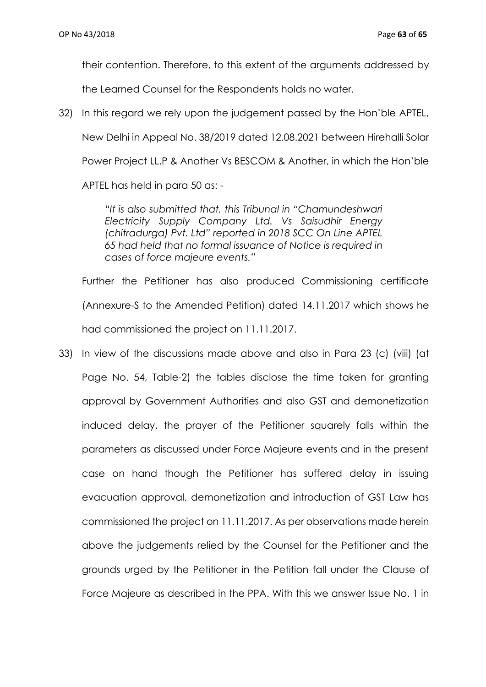their contention. Therefore, to this extent of the arguments addressed by

the Learned Counsel for the Respondents holds no water.

32) In this regard we rely upon the judgement passed by the Hon'ble APTEL, New Delhi in Appeal No. 38/2019 dated 12.08.2021 between Hirehalli Solar Power Project LL.P & Another Vs BESCOM & Another, in which the Hon'ble APTEL has held in para 50 as: -

> *"It is also submitted that, this Tribunal in "Chamundeshwari Electricity Supply Company Ltd. Vs Saisudhir Energy (chitradurga) Pvt. Ltd" reported in 2018 SCC On Line APTEL 65 had held that no formal issuance of Notice is required in cases of force majeure events."*

Further the Petitioner has also produced Commissioning certificate (Annexure-S to the Amended Petition) dated 14.11.2017 which shows he had commissioned the project on 11.11.2017.

33) In view of the discussions made above and also in Para 23 (c) (viii) (at Page No. 54, Table-2) the tables disclose the time taken for granting approval by Government Authorities and also GST and demonetization induced delay, the prayer of the Petitioner squarely falls within the parameters as discussed under Force Majeure events and in the present case on hand though the Petitioner has suffered delay in issuing evacuation approval, demonetization and introduction of GST Law has commissioned the project on 11.11.2017. As per observations made herein above the judgements relied by the Counsel for the Petitioner and the grounds urged by the Petitioner in the Petition fall under the Clause of Force Majeure as described in the PPA. With this we answer Issue No. 1 in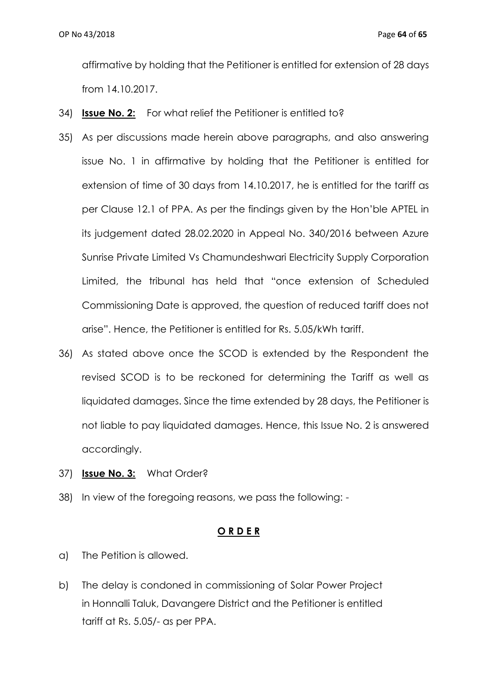affirmative by holding that the Petitioner is entitled for extension of 28 days from 14.10.2017.

- 34) **Issue No. 2:** For what relief the Petitioner is entitled to?
- 35) As per discussions made herein above paragraphs, and also answering issue No. 1 in affirmative by holding that the Petitioner is entitled for extension of time of 30 days from 14.10.2017, he is entitled for the tariff as per Clause 12.1 of PPA. As per the findings given by the Hon'ble APTEL in its judgement dated 28.02.2020 in Appeal No. 340/2016 between Azure Sunrise Private Limited Vs Chamundeshwari Electricity Supply Corporation Limited, the tribunal has held that "once extension of Scheduled Commissioning Date is approved, the question of reduced tariff does not arise". Hence, the Petitioner is entitled for Rs. 5.05/kWh tariff.
- 36) As stated above once the SCOD is extended by the Respondent the revised SCOD is to be reckoned for determining the Tariff as well as liquidated damages. Since the time extended by 28 days, the Petitioner is not liable to pay liquidated damages. Hence, this Issue No. 2 is answered accordingly.
- 37) **Issue No. 3:** What Order?
- 38) In view of the foregoing reasons, we pass the following: -

## **O R D E R**

- a) The Petition is allowed.
- b) The delay is condoned in commissioning of Solar Power Project in Honnalli Taluk, Davangere District and the Petitioner is entitled tariff at Rs. 5.05/- as per PPA.